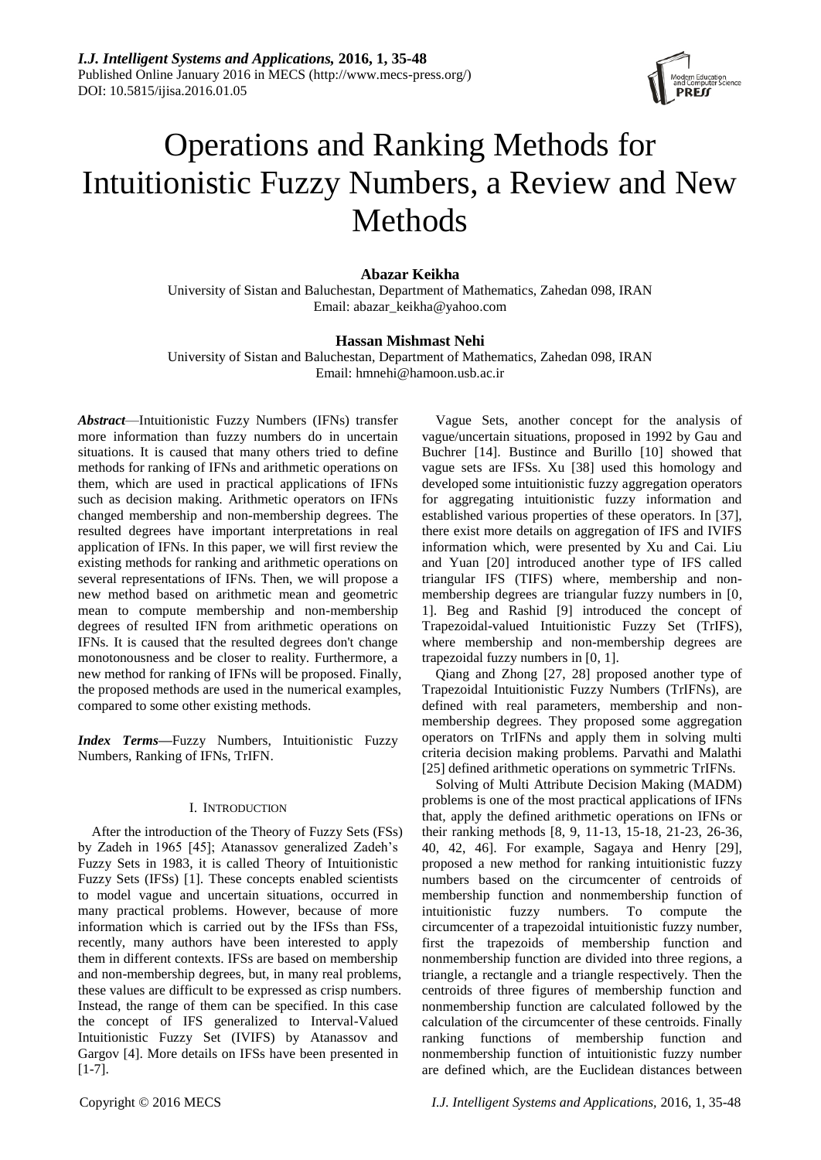

# Operations and Ranking Methods for Intuitionistic Fuzzy Numbers, a Review and New Methods

# **Abazar Keikha**

University of Sistan and Baluchestan, Department of Mathematics, Zahedan 098, IRAN Email: abazar\_keikha@yahoo.com

## **Hassan Mishmast Nehi**

University of Sistan and Baluchestan, Department of Mathematics, Zahedan 098, IRAN Email: hmnehi@hamoon.usb.ac.ir

*Abstract*—Intuitionistic Fuzzy Numbers (IFNs) transfer more information than fuzzy numbers do in uncertain situations. It is caused that many others tried to define methods for ranking of IFNs and arithmetic operations on them, which are used in practical applications of IFNs such as decision making. Arithmetic operators on IFNs changed membership and non-membership degrees. The resulted degrees have important interpretations in real application of IFNs. In this paper, we will first review the existing methods for ranking and arithmetic operations on several representations of IFNs. Then, we will propose a new method based on arithmetic mean and geometric mean to compute membership and non-membership degrees of resulted IFN from arithmetic operations on IFNs. It is caused that the resulted degrees don't change monotonousness and be closer to reality. Furthermore, a new method for ranking of IFNs will be proposed. Finally, the proposed methods are used in the numerical examples, compared to some other existing methods.

*Index Terms***—**Fuzzy Numbers, Intuitionistic Fuzzy Numbers, Ranking of IFNs, TrIFN.

#### I. INTRODUCTION

After the introduction of the Theory of Fuzzy Sets (FSs) by Zadeh in 1965 [45]; Atanassov generalized Zadeh's Fuzzy Sets in 1983, it is called Theory of Intuitionistic Fuzzy Sets (IFSs) [1]. These concepts enabled scientists to model vague and uncertain situations, occurred in many practical problems. However, because of more information which is carried out by the IFSs than FSs, recently, many authors have been interested to apply them in different contexts. IFSs are based on membership and non-membership degrees, but, in many real problems, these values are difficult to be expressed as crisp numbers. Instead, the range of them can be specified. In this case the concept of IFS generalized to Interval-Valued Intuitionistic Fuzzy Set (IVIFS) by Atanassov and Gargov [4]. More details on IFSs have been presented in  $[1-7]$ .

Vague Sets, another concept for the analysis of vague/uncertain situations, proposed in 1992 by Gau and Buchrer [14]. Bustince and Burillo [10] showed that vague sets are IFSs. Xu [38] used this homology and developed some intuitionistic fuzzy aggregation operators for aggregating intuitionistic fuzzy information and established various properties of these operators. In [37], there exist more details on aggregation of IFS and IVIFS information which, were presented by Xu and Cai. Liu and Yuan [20] introduced another type of IFS called triangular IFS (TIFS) where, membership and nonmembership degrees are triangular fuzzy numbers in [0, 1]. Beg and Rashid [9] introduced the concept of Trapezoidal-valued Intuitionistic Fuzzy Set (TrIFS), where membership and non-membership degrees are trapezoidal fuzzy numbers in [0, 1].

Qiang and Zhong [27, 28] proposed another type of Trapezoidal Intuitionistic Fuzzy Numbers (TrIFNs), are defined with real parameters, membership and nonmembership degrees. They proposed some aggregation operators on TrIFNs and apply them in solving multi criteria decision making problems. Parvathi and Malathi [25] defined arithmetic operations on symmetric TrIFNs.

Solving of Multi Attribute Decision Making (MADM) problems is one of the most practical applications of IFNs that, apply the defined arithmetic operations on IFNs or their ranking methods [8, 9, 11-13, 15-18, 21-23, 26-36, 40, 42, 46]. For example, Sagaya and Henry [29], proposed a new method for ranking intuitionistic fuzzy numbers based on the circumcenter of centroids of membership function and nonmembership function of intuitionistic fuzzy numbers. To compute the circumcenter of a trapezoidal intuitionistic fuzzy number, first the trapezoids of membership function and nonmembership function are divided into three regions, a triangle, a rectangle and a triangle respectively. Then the centroids of three figures of membership function and nonmembership function are calculated followed by the calculation of the circumcenter of these centroids. Finally ranking functions of membership function and nonmembership function of intuitionistic fuzzy number are defined which, are the Euclidean distances between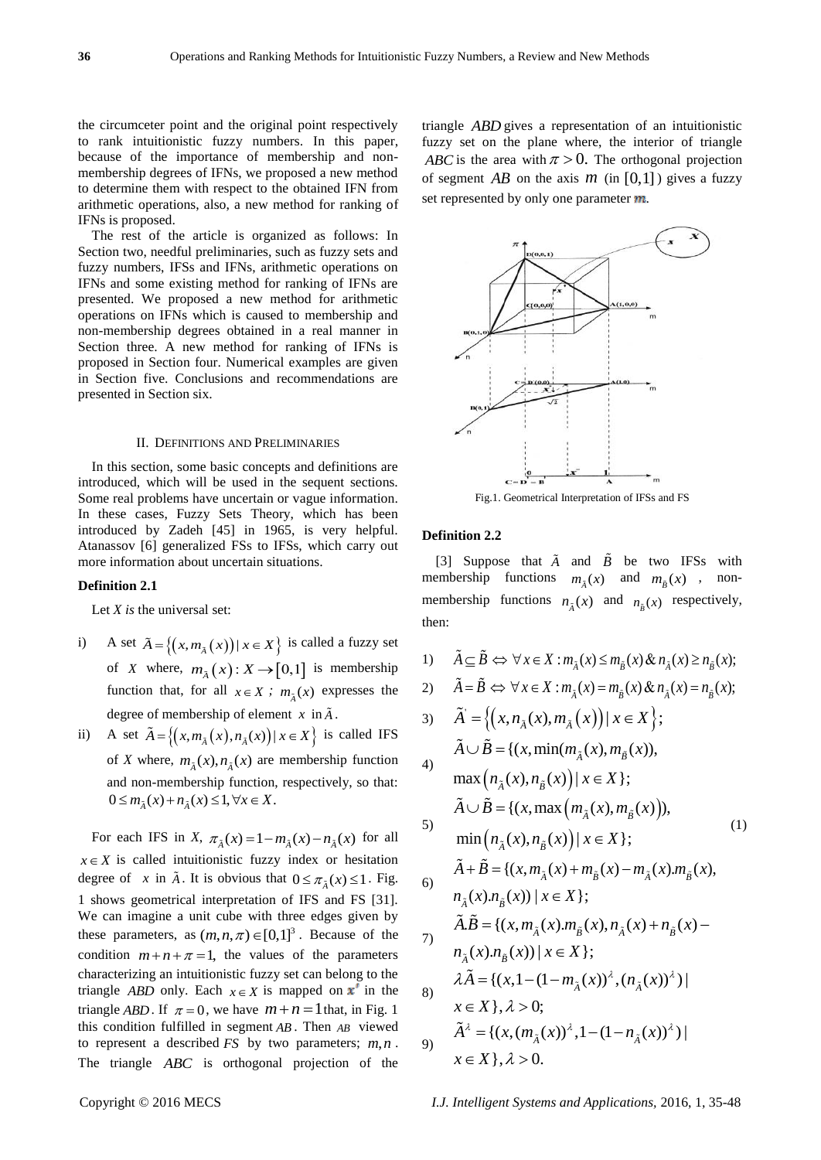the circumceter point and the original point respectively to rank intuitionistic fuzzy numbers. In this paper, because of the importance of membership and nonmembership degrees of IFNs, we proposed a new method to determine them with respect to the obtained IFN from arithmetic operations, also, a new method for ranking of IFNs is proposed.

The rest of the article is organized as follows: In Section two, needful preliminaries, such as fuzzy sets and fuzzy numbers, IFSs and IFNs, arithmetic operations on IFNs and some existing method for ranking of IFNs are presented. We proposed a new method for arithmetic operations on IFNs which is caused to membership and non-membership degrees obtained in a real manner in Section three. A new method for ranking of IFNs is proposed in Section four. Numerical examples are given in Section five. Conclusions and recommendations are presented in Section six.

#### II. DEFINITIONS AND PRELIMINARIES

In this section, some basic concepts and definitions are introduced, which will be used in the sequent sections. Some real problems have uncertain or vague information. In these cases, Fuzzy Sets Theory, which has been introduced by Zadeh [45] in 1965, is very helpful. Atanassov [6] generalized FSs to IFSs, which carry out more information about uncertain situations.

#### **Definition 2.1**

Let *X is* the universal set:

- i) A set  $\tilde{A} = \{(x, m_{\tilde{A}}(x)) | x \in X\}$  is called a fuzzy set of *X* where,  $m_{\tilde{A}}(x)$ :  $X \rightarrow [0,1]$  is membership function that, for all  $x \in X$ ;  $m_{\tilde{A}}(x)$  expresses the degree of membership of element  $x$  in  $\tilde{A}$ .
- ii) A set  $\tilde{A} = \{(x, m_{\tilde{A}}(x), n_{\tilde{A}}(x)) | x \in X \}$  is called IFS of *X* where,  $m_{\tilde{A}}(x)$ ,  $n_{\tilde{A}}(x)$  are membership function and non-membership function, respectively, so that:  $0 \leq m_{\tilde{A}}(x) + n_{\tilde{A}}(x) \leq 1, \forall x \in X.$

For each IFS in *X*,  $\pi_{\tilde{A}}(x) = 1 - m_{\tilde{A}}(x) - n_{\tilde{A}}(x)$  for all  $x \in X$  is called intuitionistic fuzzy index or hesitation degree of x in  $\tilde{A}$ . It is obvious that  $0 \le \pi_{\tilde{A}}(x) \le 1$ . Fig. 1 shows geometrical interpretation of IFS and FS [31]. We can imagine a unit cube with three edges given by these parameters, as  $(m, n, \pi) \in [0,1]^3$ . Because of the condition  $m+n+\pi=1$ , the values of the parameters characterizing an intuitionistic fuzzy set can belong to the triangle *ABD* only. Each  $x \in X$  is mapped on  $x'$  in the triangle *ABD*. If  $\pi = 0$ , we have  $m + n = 1$  that, in Fig. 1 this condition fulfilled in segment *AB* . Then *AB* viewed to represent a described  $FS$  by two parameters;  $m, n$ . The triangle *ABC* is orthogonal projection of the

triangle *ABD* gives a representation of an intuitionistic fuzzy set on the plane where, the interior of triangle *ABC* is the area with  $\pi > 0$ . The orthogonal projection of segment  $AB$  on the axis  $m$  (in [0,1]) gives a fuzzy set represented by only one parameter *.* 



Fig.1. Geometrical Interpretation of IFSs and FS

# **Definition 2.2**

[3] Suppose that  $\tilde{A}$  and  $\tilde{B}$  be two IFSs with membership functions  $m_{\tilde{A}}(x)$  and  $m_{\tilde{B}}(x)$  , nonmembership functions  $n_{\tilde{A}}(x)$  and  $n_{\tilde{B}}(x)$  respectively, then:

1)  $\tilde{A} \subseteq \tilde{B} \Leftrightarrow \forall x \in X : m_{\tilde{A}}(x) \leq m_{\tilde{B}}(x) \& n_{\tilde{A}}(x) \geq n_{\tilde{B}}(x);$ 

1) 
$$
A \subseteq \overline{B} \Leftrightarrow \forall x \in X : m_{\tilde{A}}(x) \le m_{\tilde{B}}(x) \& n_{\tilde{A}}(x) \ge n_{\tilde{B}}(x);
$$
  
\n2)  $\tilde{A} = \tilde{B} \Leftrightarrow \forall x \in X : m_{\tilde{A}}(x) = m_{\tilde{B}}(x) \& n_{\tilde{A}}(x) = n_{\tilde{B}}(x);$ 

7) 
$$
\tilde{A} = \{ (x, n_{\tilde{A}}(x), m_{\tilde{B}}(x)) | x \in X \};
$$
  
\n8)  $\tilde{A} = \{ (x, \min(m_{\tilde{A}}(x), m_{\tilde{B}}(x)),$   
\n9)  $\max(n_{\tilde{A}}(x), n_{\tilde{B}}(x)) | x \in X \};$   
\n $\tilde{A} \cup \tilde{B} = \{ (x, \max(m_{\tilde{A}}(x), m_{\tilde{B}}(x))),$   
\n $\tilde{A} \cup \tilde{B} = \{ (x, \max(m_{\tilde{A}}(x), m_{\tilde{B}}(x))),$   
\n $\min(n_{\tilde{A}}(x), n_{\tilde{B}}(x)) | x \in X \};$   
\n $\tilde{A} + \tilde{B} = \{ (x, m_{\tilde{A}}(x) + m_{\tilde{B}}(x) - m_{\tilde{A}}(x).m_{\tilde{B}}(x),$   
\n $n_{\tilde{A}}(x).n_{\tilde{B}}(x)) | x \in X \};$   
\n $\tilde{A}.\tilde{B} = \{ (x, m_{\tilde{A}}(x).m_{\tilde{B}}(x), n_{\tilde{A}}(x) + n_{\tilde{B}}(x) - n_{\tilde{A}}(x).n_{\tilde{B}}(x)) | x \in X \};$   
\n $\tilde{A}\tilde{A} = \{ (x, 1 - (1 - m_{\tilde{A}}(x))^{\lambda}, (n_{\tilde{A}}(x))^{\lambda}) | x \in X \}, \lambda > 0;$   
\n9)  $\tilde{A}^{\lambda} = \{ (x, (m_{\tilde{A}}(x))^{\lambda}, 1 - (1 - n_{\tilde{A}}(x))^{\lambda}) | x \in X \}, \lambda > 0.$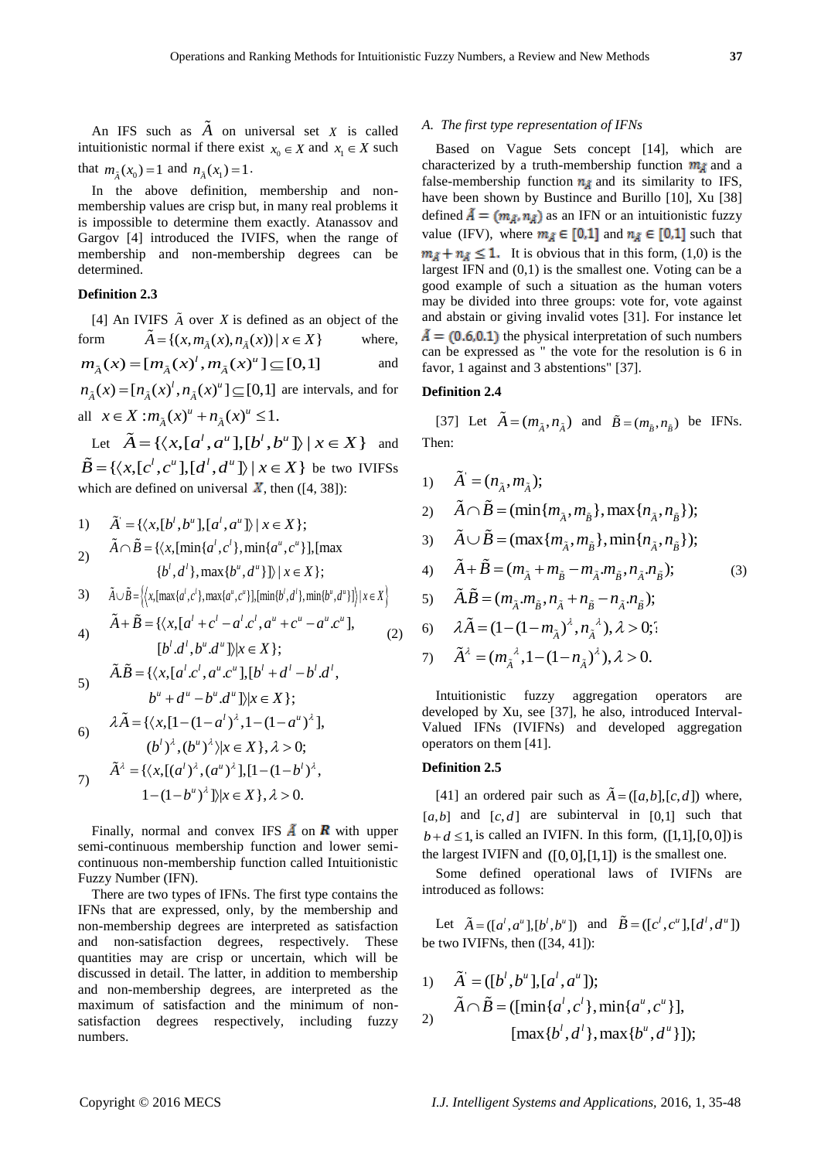An IFS such as  $A$  on universal set  $X$  is called intuitionistic normal if there exist  $x_0 \in X$  and  $x_1 \in X$  such that  $m_{\tilde{A}}(x_0) = 1$  and  $n_{\tilde{A}}(x_1) = 1$ .

In the above definition, membership and nonmembership values are crisp but, in many real problems it is impossible to determine them exactly. Atanassov and Gargov [4] introduced the IVIFS, when the range of membership and non-membership degrees can be determined.

# **Definition 2.3**

[4] An IVIFS  $\tilde{A}$  over  $X$  is defined as an object of the form  ${X \atop A} = \{ (x, m_{\tilde{A}}(x), n_{\tilde{A}}(x)) \mid x \in X \}$ where,

form 
$$
A = \{(x, m_{\tilde{A}}(x), n_{\tilde{A}}(x)) | x \in X\}
$$
 where,  

$$
m_{\tilde{A}}(x) = [m_{\tilde{A}}(x)^t, m_{\tilde{A}}(x)^u] \subseteq [0,1]
$$
 and

 $m_{\tilde{A}}(x) = [m_{\tilde{A}}(x)^\dagger, m_{\tilde{A}}(x)^\dagger] \subseteq [0,1]$  are intervals, and for  $n_{\tilde{A}}(x) = [n_{\tilde{A}}(x)^\dagger, n_{\tilde{A}}(x)^\dagger] \subseteq [0,1]$ all  $x \in X : m_{\tilde{A}}(x)^{u} + n_{\tilde{A}}(x)^{u} \leq 1.$ 

 $x \in X : m_{\tilde{A}}(x)^{n} + n_{\tilde{A}}(x)^{n} \le 1.$ <br>Let  $\tilde{A} = \{ \langle x, [a^l, a^u], [b^l, b^u] \rangle \mid x \in X \}$  and Let  $A = \{ \langle x, [a^t, a^u], [b^t, b^u] \rangle \mid x \in X \}$  and<br>  $\tilde{B} = \{ \langle x, [c^t, c^u], [d^t, d^u] \rangle \mid x \in X \}$  be two IVIFSs which are defined on universal  $\bar{X}$ , then ([4, 38]):

1) 
$$
\tilde{A} = \{ \langle x, [b^l, b^u], [a^l, a^u] \rangle \mid x \in X \};
$$
  
\n2)  $\tilde{A} \cap \tilde{B} = \{ \langle x, [\min\{a^l, c^l\}, \min\{a^u, c^u\} \}], [\max\{b^l, d^l\}, \max\{b^u, d^u\}]\} \mid x \in X \};$ 

$$
\{b^l, d^l\}, \max\{b^u, d^u\}\}\mid x \in X\};
$$
  
3) 
$$
\tilde{A} \cup \tilde{B} = \left\{ \left\langle x, [\max\{a^l, c^l\}, \max\{a^u, c^u\}], [\min\{b^l, d^l\}, \min\{b^u, d^u\}]\right\rangle | x \in X \right\}
$$

3) 
$$
A \cup B = \{x, [\max\{a', c'\}, \max\{a', c''\}], [\min\{b', d'\}, \min\{b', d''\}]\} | x \in X \}
$$
  
4)  $\tilde{A} + \tilde{B} = \{ \langle x, [a^l + c^l - a^l.c^l, a^u + c^u - a^u.c^u], [b^l.d^l, b^u.d^u] \rangle | x \in X \};$  (2)

$$
[b'.d', b''.d'']\rangle | x \in X \};
$$
  
5) 
$$
\tilde{A}.\tilde{B} = \{ \langle x, [a^l.c^l, a^u.c^u], [b^l + d^l - b^l.d^l, b^u + d^u - b^u.d^u] \rangle | x \in X \};
$$

6) 
$$
b^2 + a^2 - b^2 \cdot a^2 = 1
$$
  
\n7)  $\tilde{A} = \{ \langle x, [1 - (1 - a^l)^{\lambda}, 1 - (1 - a^u)^{\lambda} \},$   
\n8)  $(b^l)^{\lambda}, (b^u)^{\lambda} \rangle | x \in X \}, \lambda > 0;$   
\n9)  $\tilde{A}^{\lambda} = \{ \langle x, [(a^l)^{\lambda}, (a^u)^{\lambda}], [1 - (1 - b^l)^{\lambda}, 1 - (1 - b^u)^{\lambda} \} | x \in X \}, \lambda > 0.$ 

Finally, normal and convex IFS  $\vec{A}$  on  $\vec{R}$  with upper semi-continuous membership function and lower semicontinuous non-membership function called Intuitionistic Fuzzy Number (IFN).

There are two types of IFNs. The first type contains the IFNs that are expressed, only, by the membership and non-membership degrees are interpreted as satisfaction and non-satisfaction degrees, respectively. These quantities may are crisp or uncertain, which will be discussed in detail. The latter, in addition to membership and non-membership degrees, are interpreted as the maximum of satisfaction and the minimum of nonsatisfaction degrees respectively, including fuzzy numbers.

#### *A. The first type representation of IFNs*

Based on Vague Sets concept [14], which are characterized by a truth-membership function  $m<sub>A</sub>$  and a false-membership function  $n_A$  and its similarity to IFS, have been shown by Bustince and Burillo [10], Xu [38] defined  $\bar{A} = (m_{\bar{A}}, n_{\bar{A}})$  as an IFN or an intuitionistic fuzzy value (IFV), where  $m_A \in [0,1]$  and  $n_A \in [0,1]$  such that  $m_{\tilde{A}} + n_{\tilde{A}} \leq 1$ . It is obvious that in this form, (1,0) is the largest IFN and (0,1) is the smallest one. Voting can be a good example of such a situation as the human voters may be divided into three groups: vote for, vote against and abstain or giving invalid votes [31]. For instance let  $\tilde{A} = (0.6, 0.1)$  the physical interpretation of such numbers can be expressed as " the vote for the resolution is 6 in favor, 1 against and 3 abstentions" [37].

# **Definition 2.4**

[37] Let  $\vec{A} = (m_{\tilde{A}}, n_{\tilde{A}})$  and  $\tilde{B} = (m_{\tilde{B}}, n_{\tilde{B}})$  be IFNs. Then:

1)  $\ddot{A} = (n_{\tilde{A}}, m_{\tilde{A}});$ 2)  $A = (n_{\tilde{A}}, m_{\tilde{A}});$ <br> $\tilde{A} \cap \tilde{B} = (\min\{m_{\tilde{A}}, m_{\tilde{B}}\}, \max\{n_{\tilde{A}}, n_{\tilde{B}}\});$ 3)  $A \cap B = (\min\{m_{\tilde{A}}, m_{\tilde{B}}\}, \max\{n_{\tilde{A}}, n_{\tilde{B}}\}),$ <br> $\tilde{A} \cup \tilde{B} = (\max\{m_{\tilde{A}}, m_{\tilde{B}}\}, \min\{n_{\tilde{A}}, n_{\tilde{B}}\}),$ 4)  $\tilde{A} + \tilde{B} = (m_{\tilde{A}} + m_{\tilde{B}} - m_{\tilde{A}} m_{\tilde{B}} n_{\tilde{A}} n_{\tilde{B}});$ (3)

5) 
$$
\tilde{A}.\tilde{B} = (m_{\tilde{A}}. m_{\tilde{B}}^{}, n_{\tilde{A}}^{} + n_{\tilde{B}}^{} - n_{\tilde{A}}. n_{\tilde{B}}^{});
$$

5) 
$$
AB = (m_{\tilde{A}}, m_{\tilde{B}}, n_{\tilde{A}} + n_{\tilde{B}} - n_{\tilde{A}}, n_{\tilde{B}});
$$
  
\n6)  $\lambda \tilde{A} = (1 - (1 - m_{\tilde{A}})^{\lambda}, n_{\tilde{A}}^{\lambda}), \lambda > 0;$ 

6) 
$$
\lambda A = (1 - (1 - m_{\tilde{A}})^{\lambda}, n_{\tilde{A}}^{\lambda}), \lambda > 0;
$$

7) 
$$
\tilde{A}^{\lambda} = (m_{\tilde{A}}^{\lambda}, 1 - (1 - n_{\tilde{A}})^{\lambda}), \lambda > 0.
$$

Intuitionistic fuzzy aggregation operators are developed by Xu, see [37], he also, introduced Interval-Valued IFNs (IVIFNs) and developed aggregation operators on them [41].

#### **Definition 2.5**

[41] an ordered pair such as  $\tilde{A} = (\lfloor a,b \rfloor, [c, d])$  where,  $[a,b]$  and  $[c,d]$  are subinterval in  $[0,1]$  such that  $b+d \leq 1$ , is called an IVIFN. In this form,  $([1,1],[0,0])$  is the largest IVIFN and  $([0,0],[1,1])$  is the smallest one.

Some defined operational laws of IVIFNs are introduced as follows:

Let  $\tilde{A} = (\lbrack a^l, a^u \rbrack, \lbrack b^l, b^u \rbrack)$  and  $\tilde{B} = (\lbrack c^l, c^u \rbrack, \lbrack d^l, d^u \rbrack)$ be two IVIFNs, then ([34, 41]):

1) 
$$
\tilde{A} = ([b^l, b^u], [a^l, a^u]);
$$
  
\n2)  $\tilde{A} \cap \tilde{B} = ([\min\{a^l, c^l\}, \min\{a^u, c^u\}],$   
\n $[\max\{b^l, d^l\}, \max\{b^u, d^u\}]);$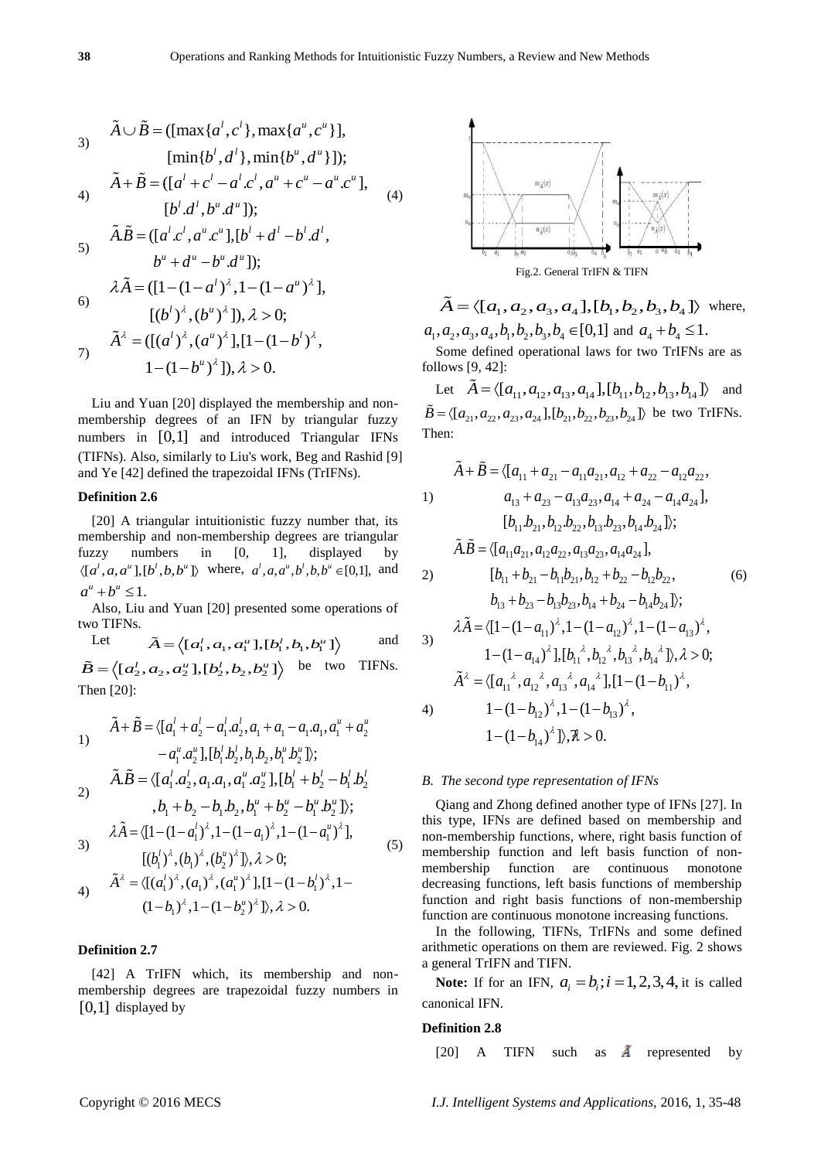3) 
$$
\tilde{A} \cup \tilde{B} = (\left[\max\{a^l, c^l\}, \max\{a^u, c^u\}\right],
$$
  
\n $\left[\min\{b^l, d^l\}, \min\{b^u, d^u\}\right]);$   
\n4)  $\tilde{A} + \tilde{B} = (\left[a^l + c^l - a^l.c^l, a^u + c^u - a^u.c^u\right],$   
\n $\left[b^l.d^l, b^u.d^u\right]);$   
\n5)  $\tilde{A}.\tilde{B} = (\left[a^l.c^l, a^u.c^u\right], \left[b^l + d^l - b^l.d^l\right],$   
\n $b^u + d^u - b^u.d^u];$   
\n6)  $\lambda \tilde{A} = (\left[1 - (1 - a^l)^{\lambda}, 1 - (1 - a^u)^{\lambda}\right],$   
\n $\left[(b^l)^{\lambda}, (b^u)^{\lambda}\right], \lambda > 0;$   
\n $\tilde{A}^{\lambda} = (\left[\left(a^l\right)^{\lambda}, \left(a^u\right)^{\lambda}\right], \left[1 - (1 - b^l)^{\lambda}\right],$   
\n $1 - (1 - b^u)^{\lambda}]; \lambda > 0.$ 

Liu and Yuan [20] displayed the membership and nonmembership degrees of an IFN by triangular fuzzy numbers in [0,1] and introduced Triangular IFNs (TIFNs). Also, similarly to Liu's work, Beg and Rashid [9] and Ye [42] defined the trapezoidal IFNs (TrIFNs).

#### **Definition 2.6**

[20] A triangular intuitionistic fuzzy number that, its membership and non-membership degrees are triangular fuzzy numbers in [0, 1], displayed by  $\langle [a^i, a, a^u], [b^i, b, b^u] \rangle$  where,  $a^i, a, a^u, b^i, b, b^u \in [0,1]$ , and  $a^{u} + b^{u} \leq 1.$ 

Also, Liu and Yuan [20] presented some operations of two TIFNs.

Let  $\widetilde{A} = \left\langle [a_1^l, a_1, a_1^u], [b_1^l, b_1, b_1^u] \right\rangle$ and Let  $A = \langle [a'_1, a_1, a''_1], [b'_1, b_1, b''_1] \rangle$  and<br>  $\tilde{B} = \langle [a'_2, a_2, a''_2], [b'_2, b_2, b''_2] \rangle$  be two TIFNs. Then [20]:

1)  
\n
$$
\tilde{A} + \tilde{B} = \langle [a_1^l + a_2^l - a_1^l a_2^l, a_1 + a_1 - a_1 a_1, a_1^u + a_2^u \rangle
$$
\n
$$
- a_1^u . a_2^u ], [b_1^l . b_2^l . b_1 b_2, b_1^u . b_2^u ] \rangle;
$$
\n2)  
\n
$$
\tilde{A} \cdot \tilde{B} = \langle [a_1^l . a_2^l , a_1 . a_1, a_1^u . a_2^u ], [b_1^l + b_2^l - b_1^l . b_2^l \rangle
$$
\n
$$
b_1 + b_2 - b_1 b_2 , b_1^u + b_2^u - b_1^u . b_2^u ] \rangle;
$$
\n3)  
\n
$$
\lambda \tilde{A} = \langle [1 - (1 - a_1^l)^{\lambda}, 1 - (1 - a_1^u)^{\lambda}, 1 - (1 - a_1^u)^{\lambda} ] \rangle
$$

3) 
$$
AA = \langle [1 - (1 - a_1)^{-1}, 1 - (1 - a_1)^{-1}, 1 - (1 - a_1)^{-1}],
$$
  
\n
$$
[(b_1^{j})^{\lambda}, (b_1)^{\lambda}, (b_2^{u})^{\lambda}], \lambda > 0;
$$
  
\n4) 
$$
\tilde{A}^{\lambda} = \langle [(a_1^{j})^{\lambda}, (a_1)^{\lambda}, (a_1^{u})^{\lambda}], [1 - (1 - b_1^{j})^{\lambda}, 1 - (1 - b_1)^{\lambda}, 1 - (1 - b_2^{u})^{\lambda}], \lambda > 0.
$$
  
\n(5)

## **Definition 2.7**

[42] A TrIFN which, its membership and nonmembership degrees are trapezoidal fuzzy numbers in [0,1] displayed by



$$
\tilde{A} = \langle [a_1, a_2, a_3, a_4], [b_1, b_2, b_3, b_4] \rangle \text{ where,}
$$
  

$$
a_1, a_2, a_3, a_4, b_1, b_2, b_3, b_4 \in [0,1] \text{ and } a_4 + b_4 \le 1.
$$

Some defined operational laws for two TrIFNs are as follows [9, 42]:

llows [9, 42]:<br>Let  $\tilde{A} = \langle [a_{11}, a_{12}, a_{13}, a_{14}], [b_{11}, b_{12}, b_{13}, b_{14}] \rangle$  and Let  $A = \langle [a_{11}, a_{12}, a_{13}, a_{14}], [b_{11}, b_{12}, b_{13}, b_{14}] \rangle$  and<br>  $\tilde{B} = \langle [a_{21}, a_{22}, a_{23}, a_{24}], [b_{21}, b_{22}, b_{23}, b_{24}] \rangle$  be two TrIFNs. Then:

$$
\tilde{A} + \tilde{B} = \langle [a_{11} + a_{21} - a_{11}a_{21}, a_{12} + a_{22} - a_{12}a_{22},
$$
  
\n1)  
\n
$$
a_{13} + a_{23} - a_{13}a_{23}, a_{14} + a_{24} - a_{14}a_{24}],
$$
  
\n
$$
[b_{11}b_{21}, b_{12}b_{22}, b_{13}b_{23}, b_{14}b_{24}];
$$
  
\n
$$
\tilde{A}.\tilde{B} = \langle [a_{11}a_{21}, a_{12}a_{22}, a_{13}a_{23}, a_{14}a_{24}],
$$
  
\n2)  
\n
$$
[b_{11} + b_{21} - b_{11}b_{21}, b_{12} + b_{22} - b_{12}b_{22},
$$
  
\n
$$
b_{13} + b_{23} - b_{13}b_{23}, b_{14} + b_{24} - b_{14}b_{24}];
$$
  
\n3)  
\n
$$
\lambda \tilde{A} = \langle [1 - (1 - a_{11})^{\lambda}, 1 - (1 - a_{12})^{\lambda}, 1 - (1 - a_{13})^{\lambda},
$$
  
\n
$$
1 - (1 - a_{14})^{\lambda}, 1, [b_{11}^{\lambda}, b_{12}^{\lambda}, b_{13}^{\lambda}, b_{14}^{\lambda}], \lambda > 0;
$$
  
\n
$$
\tilde{A}^{\lambda} = \langle [a_{11}^{\lambda}, a_{12}^{\lambda}, a_{13}^{\lambda}, a_{14}^{\lambda}], [1 - (1 - b_{11})^{\lambda},
$$
  
\n
$$
1 - (1 - b_{12})^{\lambda}, 1 - (1 - b_{13})^{\lambda},
$$
  
\n
$$
1 - (1 - b_{14})^{\lambda}], \lambda > 0.
$$

#### *B. The second type representation of IFNs*

Qiang and Zhong defined another type of IFNs [27]. In this type, IFNs are defined based on membership and non-membership functions, where, right basis function of membership function and left basis function of nonmembership function are continuous monotone decreasing functions, left basis functions of membership function and right basis functions of non-membership function are continuous monotone increasing functions.

In the following, TIFNs, TrIFNs and some defined arithmetic operations on them are reviewed. Fig. 2 shows a general TrIFN and TIFN.

**Note:** If for an IFN,  $a_i = b_i$ ;  $i = 1, 2, 3, 4$ , it is called canonical IFN.

#### **Definition 2.8**

[20] A TIFN such as  $\tilde{A}$  represented by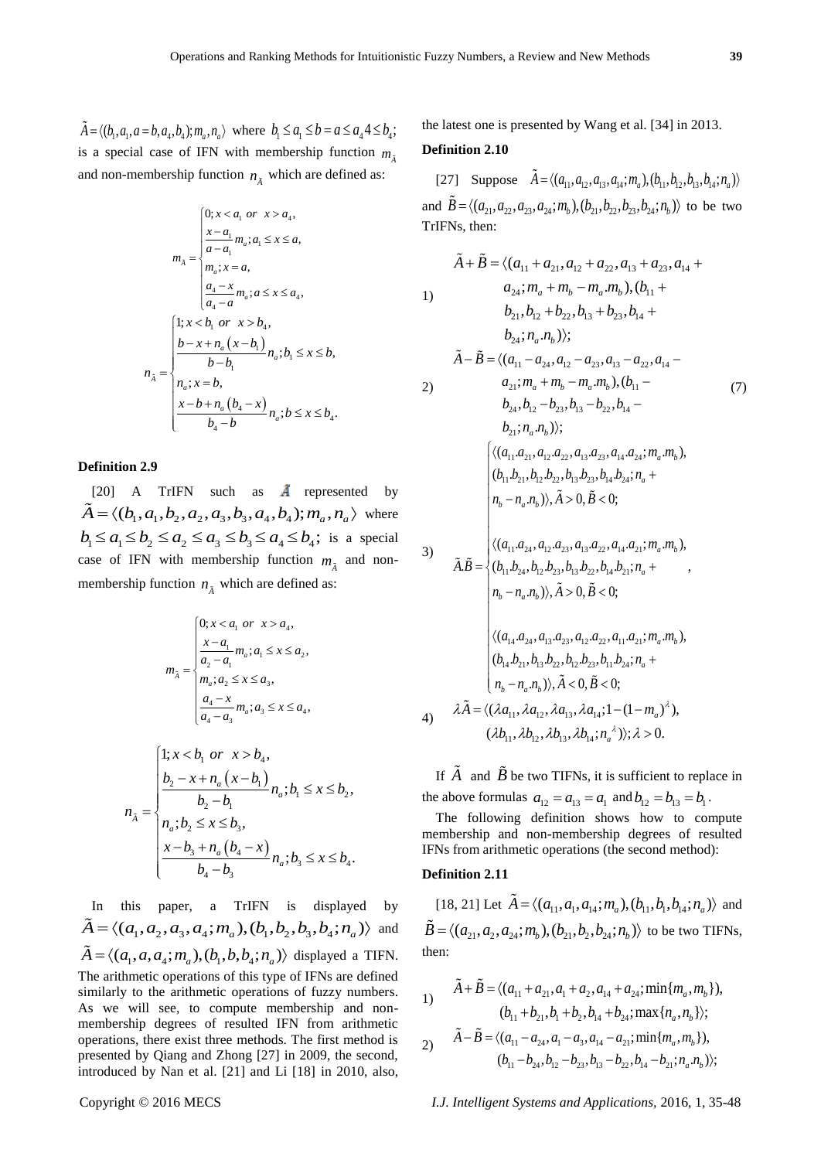$\tilde{A} = \langle (b_1, a_1, a = b, a_4, b_4); m_a, n_a \rangle$  where  $b_1 \le a_1 \le b = a \le a_4 4 \le b_4$ ; is a special case of IFN with membership function  $m_{\tilde{A}}$ and non-membership function  $n_{\tilde{A}}$  which are defined as:

$$
m_{\tilde{A}} = \begin{cases} 0; x < a_1 \text{ or } x > a_4, \\ \frac{x - a_1}{a - a_1} m_a; a_1 \leq x \leq a, \\ m_a; x = a, \\ \frac{a_4 - x}{a_4 - a} m_a; a \leq x \leq a_4, \end{cases}
$$
\n
$$
n_{\tilde{A}} = \begin{cases} 1; x < b_1 \text{ or } x > b_4, \\ b - x + n_a (x - b_1) \\ h - b_1 \\ n_a; x = b, \\ \frac{x - b + n_a (b_4 - x)}{b_4 - b} n_a; b \leq x \leq b_4. \end{cases}
$$

# **Definition 2.9**

[20] A TrIFN such as  $\AA$  represented by [20] A TrIFN such as  $\AA$  represented by<br> $\tilde{A} = \langle (b_1, a_1, b_2, a_2, a_3, b_3, a_4, b_4); m_a, n_a \rangle$  where  $A = \langle (b_1, a_1, b_2, a_2, a_3, b_3, a_4, b_4) ; m_a, n_a \rangle$  where<br>  $b_1 \le a_1 \le b_2 \le a_2 \le a_3 \le b_3 \le a_4 \le b_4$ ; is a special case of IFN with membership function  $m_{\tilde{A}}$  and nonmembership function  $n_{\tilde{A}}$  which are defined as:

$$
m_{\tilde{\lambda}} = \begin{cases} 0; x < a_1 \text{ or } x > a_4, \\ \frac{x - a_1}{a_2 - a_1} m_a; a_1 \le x \le a_2, \\ m_a; a_2 \le x \le a_3, \\ \frac{a_4 - x}{a_4 - a_3} m_a; a_3 \le x \le a_4, \end{cases}
$$

$$
n_{\tilde{A}} = \begin{cases} 1; x < b_1 \text{ or } x > b_4, \\ \frac{b_2 - x + n_a (x - b_1)}{b_2 - b_1} n_a; b_1 \le x \le b_2, \\ n_a; b_2 \le x \le b_3, \\ \frac{x - b_3 + n_a (b_4 - x)}{b_4 - b_3} n_a; b_3 \le x \le b_4. \end{cases}
$$

In this paper, a TrIFN is displayed by In this paper, a TrIFN is displayed by<br> $\tilde{A} = \langle (a_1, a_2, a_3, a_4; m_a), (b_1, b_2, b_3, b_4; n_a) \rangle$  and  $\tilde{A} = \langle (a_1, a, a_4; m_a), (b_1, b, b_4; n_a) \rangle$  displayed a TIFN.<br> $\tilde{A} = \langle (a_1, a, a_4; m_a), (b_1, b, b_4; n_a) \rangle$  displayed a TIFN. The arithmetic operations of this type of IFNs are defined similarly to the arithmetic operations of fuzzy numbers. As we will see, to compute membership and nonmembership degrees of resulted IFN from arithmetic operations, there exist three methods. The first method is presented by Qiang and Zhong [27] in 2009, the second, introduced by Nan et al. [21] and Li [18] in 2010, also,

the latest one is presented by Wang et al. [34] in 2013.

#### **Definition 2.10**

[27] Suppose  $\tilde{A} = \langle (a_{11}, a_{12}, a_{13}, a_{14}; m_a), (b_{11}, b_{12}, b_{13}, b_{14}; n_a) \rangle$ [27] Suppose  $A = \langle (a_{11}, a_{12}, a_{13}, a_{14}, m_a), (b_{11}, b_{12}, b_{13}, b_{14}, m_a) \rangle$ <br>and  $\tilde{B} = \langle (a_{21}, a_{22}, a_{23}, a_{24}, m_b), (b_{21}, b_{22}, b_{23}, b_{24}, n_b) \rangle$  to be two TrIFNs, then:

$$
\tilde{A} + \tilde{B} = \langle (a_{11} + a_{21}, a_{12} + a_{22}, a_{13} + a_{23}, a_{14} + a_{24}, m_a + m_b - m_a.m_b), (b_{11} + b_{21}, b_{12} + b_{22}, b_{13} + b_{23}, b_{14} + b_{24}, n_a, n_b) \rangle;
$$
\n
$$
\tilde{A} - \tilde{B} = \langle (a_{11} - a_{24}, a_{12} - a_{23}, a_{13} - a_{22}, a_{14} - a_{21}, m_a + m_b - m_a.m_b), (b_{11} - b_{24}, b_{12} - b_{23}, b_{13} - b_{22}, b_{14} - b_{21}, n_a, n_b) \rangle;
$$
\n
$$
\begin{cases}\n\langle (a_{11}a_{21}, a_{12}a_{22}, a_{13}a_{23}, a_{14}a_{24}, m_a, m_b), \\
(b_{11}b_{21}, b_{12}b_{22}, b_{13}b_{23}, b_{14}b_{24}, n_a + n_b - n_a.n_b) \rangle, \tilde{A} > 0, \tilde{B} < 0; \\
n_b - n_a.n_b) \rangle, \tilde{A} > 0, \tilde{B} < 0; \\
\langle (a_{11}a_{24}, a_{12}a_{23}, a_{13}a_{22}, a_{14}a_{21}, m_a.m_b), \\
\langle (a_{11}a_{24}, a_{12}a_{23}, a_{13}a_{22}, a_{14}a_{21}, m_a.m_b), \\
a_{1B} = \begin{cases}\n\langle (a_{11}a_{24}, a_{12}a_{23}, a_{13}a_{22}, a_{14}a_{21}, m_a.m_b), \\
(b_{11}b_{24}, b_{12}b_{23}, b_{13}b_{22}, b_{14}b_{21}, n_a + n_b \\
n_b - n_a.n_b) \rangle, \tilde{A} > 0, \tilde{B} < 0; \\
\langle (a_{14}a_{24}, a_{13}a_{23}, a_{12}a_{22}, a_{11}a_{21}, m_a.m_b), \\
(b_{14}b_{21}, b_{13}b_{22}, b_{12}b_{23},
$$

If  $\vec{A}$  and  $\vec{B}$  be two TIFNs, it is sufficient to replace in the above formulas  $a_{12} = a_{13} = a_1$  and  $b_{12} = b_{13} = b_1$ .

The following definition shows how to compute membership and non-membership degrees of resulted IFNs from arithmetic operations (the second method):

# **Definition 2.11**

[18, 21] Let  $\tilde{A} = \langle (a_{11}, a_{1}, a_{14}; m_a), (b_{11}, b_{1}, b_{14}; n_a) \rangle$  and 118, 21] Let  $A = \langle (a_{11}, a_1, a_{14}, m_a), (b_{11}, b_1, b_{14}, n_a) \rangle$  and<br>  $\tilde{B} = \langle (a_{21}, a_2, a_{24}; m_b), (b_{21}, b_2, b_{24}; n_b) \rangle$  to be two TIFNs, then:

1)  
\n
$$
\tilde{A} + \tilde{B} = \langle (a_{11} + a_{21}, a_1 + a_2, a_{14} + a_{24}; \min\{m_a, m_b\}),
$$
\n
$$
(b_{11} + b_{21}, b_1 + b_2, b_{14} + b_{24}; \max\{n_a, n_b\});
$$
\n
$$
\tilde{A} - \tilde{B} = \langle (a_{11} - a_{24}, a_1 - a_3, a_{14} - a_{21}; \min\{m_a, m_b\}),
$$

2) 
$$
\tilde{A} - \tilde{B} = \langle (a_{11} - a_{24}, a_1 - a_3, a_{14} - a_{21}; \min\{m_a, m_b\}),
$$

$$
(b_{11} - b_{24}, b_{12} - b_{23}, b_{13} - b_{22}, b_{14} - b_{21}; n_a, n_b) \rangle;
$$

Copyright © 2016 MECS *I.J. Intelligent Systems and Applications,* 2016, 1, 35-48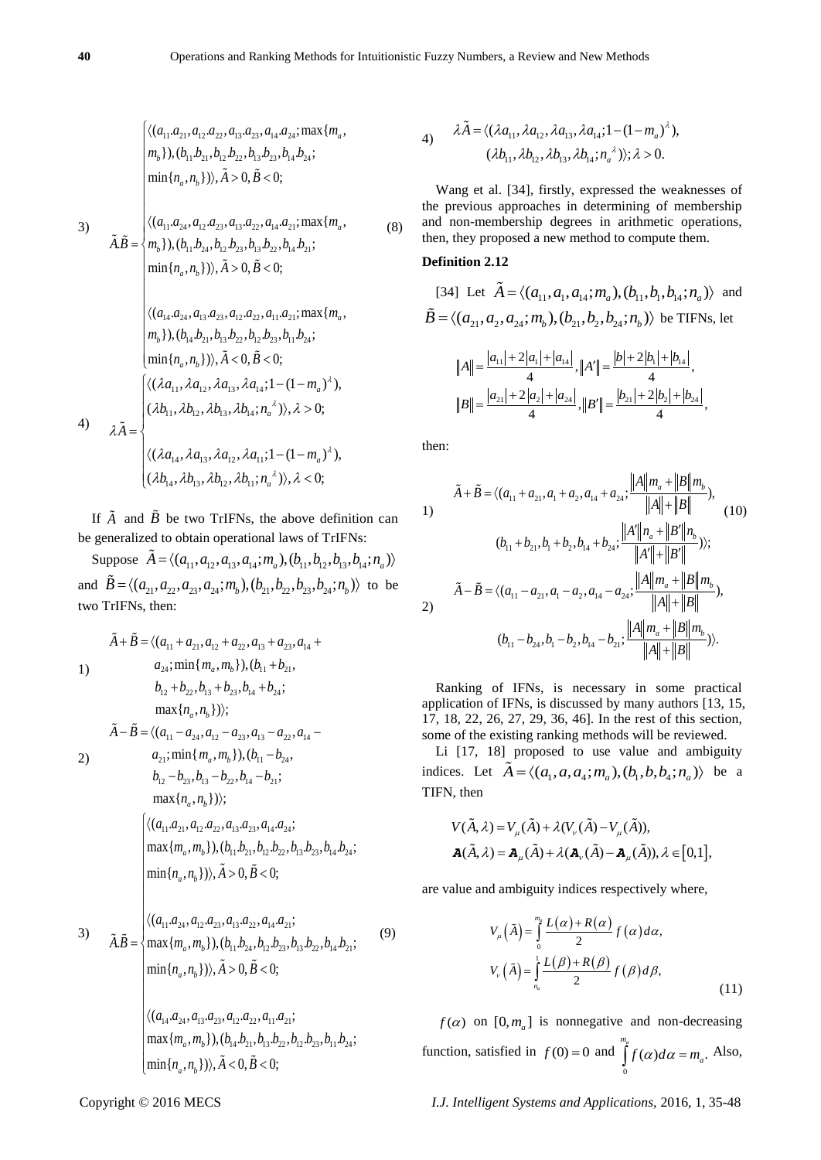3) 11 21 12 22 13 23 14 24 11 21 12 22 13 23 14 24 11 24 12 23 13 22 14 21 11 24 12 23 13 22 14 21 ( . , . , . , . ;max{ ,( . , . , . , . ; min{ , 0, 0; ( . , . , . , . ;max{ . ,( . , . , , . , . ; m }) , } in{ ) , ) , }) , } *a b a b a b a b a a a a a a a a m m b b b b b b b b n n A B a a a a a a a a m A B m b b b b b b b b n n* 14 24 13 23 12 22 11 21 14 21 13 22 12 23 11 24 0, 0; ( . , . , . , . ;max{ ,( . , . , . , . ; min{ ) , 0, 0 , } ; ) , } *a b a b A B a a a a a a a a m m b b b b b b b b n n A B* (8) 11 12 13 14 ( , , , ;1 (1 , , , , ; 0; ) ) ( ) , *a a a a a m b b b b n* 

$$
\lambda \tilde{A} = \begin{cases}\n(\lambda b_{11}, \lambda b_{12}, \lambda b_{13}, \lambda b_{14}; n_a^{\lambda}), \lambda > 0; \\
(\lambda a_{14}, \lambda a_{13}, \lambda a_{12}, \lambda a_{11}; 1 - (1 - m_a)^{\lambda}), \\
(\lambda b_{14}, \lambda b_{13}, \lambda b_{12}, \lambda b_{11}; n_a^{\lambda}), \lambda < 0;\n\end{cases}
$$

If  $\overline{A}$  and  $\overline{B}$  be two TrIFNs, the above definition can be generalized to obtain operational laws of TrIFNs:

generalized to obtain operational laws of TrIFNs:<br>Suppose  $\tilde{A} = \langle (a_{11}, a_{12}, a_{13}, a_{14}; m_a), (b_{11}, b_{12}, b_{13}, b_{14}; n_a) \rangle$ Suppose  $A = \langle (a_{11}, a_{12}, a_{13}, a_{14}; m_a), (b_{11}, b_{12}, b_{13}, b_{14}; n_a) \rangle$ <br>and  $\tilde{B} = \langle (a_{21}, a_{22}, a_{23}, a_{24}; m_b), (b_{21}, b_{22}, b_{23}, b_{24}; n_b) \rangle$  to be two TrIFNs, then:

$$
\tilde{A} + \tilde{B} = \langle (a_{11} + a_{21}, a_{12} + a_{22}, a_{13} + a_{23}, a_{14} + a_{24}, \min\{m_a, m_b\}), (b_{11} + b_{21}, b_{12} + b_{22}, b_{13} + b_{23}, b_{14} + b_{24};
$$
\n
$$
\max\{n_a, n_b\}\rangle);
$$
\n
$$
\tilde{A} - \tilde{B} = \langle (a_{11} - a_{24}, a_{12} - a_{23}, a_{13} - a_{22}, a_{14} - a_{21}; \min\{m_a, m_b\}), (b_{11} - b_{24}, b_{12} - b_{23}, b_{13} - b_{22}, b_{14} - b_{21};
$$
\n
$$
\max\{n_a, n_b\}\rangle);
$$
\n
$$
\langle \langle (a_{11}a_{21}, a_{12}a_{22}, a_{13}a_{23}, a_{14}a_{24}; \max\{m_a, m_b\}), (b_{11}b_{21}, b_{12}b_{22}, b_{13}b_{23}, b_{14}b_{24}; \min\{n_a, n_b\}) \rangle, \tilde{A} > 0, \tilde{B} < 0;
$$
\n
$$
\langle (a_{11}a_{24}, a_{12}a_{23}, a_{13}a_{22}, a_{14}a_{21}; \min\{n_a, n_b\}) \rangle, \tilde{A}) \rangle, \tilde{A} > 0, \tilde{B} < 0;
$$
\n
$$
\lambda, \tilde{B} = \begin{cases} \langle (a_{11}a_{24}, a_{12}a_{23}, a_{13}a_{22}, a_{14}a_{21}; \dots, a_{12}a_{13}, a_{12}a_{13}, a_{13}a_{22}, a_{14}a_{21}; \dots, a_{12}a_{13}, a_{13}a_{23}, a_{13}a_{22}, a_{14}a_{21}; \dots, a_{12}a_{13}, a_{13}a_{23}, a_{13}a_{23}, b_{13}a_{22}, b_{14}a_{21}; \dots, a_{13}a_{13}, a_{13}a_{23}, a_{14}a_{21}; \
$$

 $(a_{14}.a_{24}, a_{13}.a_{23}, a_{12}.a_{22}, a_{11}.a_{21};$  $\begin{cases} \langle (a_{14}.a_{24}, a_{13}.a_{23}, a_{12}.a_{22}, a_{11}.a_{21}; \\ \max\{m_a, m_b\}), (b_{14}.b_{21}.b_{13}.b_{22}.b_{12}.b_{23}.b_{11}.b_{24}; \end{cases}$  $\begin{cases} \max\{m_a, m_b\}, (b_{14}b_{21}, b_{13}b_{22}, b_{12}) \\ \min\{n_a, n_b\})\}, \tilde{A} < 0, \tilde{B} < 0; \end{cases}$  $\left\{ \langle (a_{14}.a_{24}, a_{13}.a_{23}, a_{12}.a_{22}, a_{11}.a_{23} \rangle \right\}$ *a b m m b b b b b b b b*

4) 
$$
\lambda \tilde{A} = \langle (\lambda a_{11}, \lambda a_{12}, \lambda a_{13}, \lambda a_{14}; 1 - (1 - m_a)^{\lambda}),
$$
  
\n $(\lambda b_{11}, \lambda b_{12}, \lambda b_{13}, \lambda b_{14}; n_a^{\lambda}) \rangle; \lambda > 0.$ 

Wang et al. [34], firstly, expressed the weaknesses of the previous approaches in determining of membership and non-membership degrees in arithmetic operations, then, they proposed a new method to compute them.

# **Definition 2.12**

[34] Let 
$$
\tilde{A} = \langle (a_{11}, a_{11}, a_{14}; m_a), (b_{11}, b_{11}, b_{14}; n_a) \rangle
$$
 and  
\n
$$
\tilde{B} = \langle (a_{21}, a_{21}, a_{24}; m_b), (b_{21}, b_{21}, b_{24}; n_b) \rangle
$$
 be TIFNs, let  
\n
$$
||A|| = \frac{|a_{11}| + 2|a_{1}| + |a_{14}|}{4}, ||A'|| = \frac{|b| + 2|b_{1}| + |b_{14}|}{4},
$$
  
\n
$$
||B|| = \frac{|a_{21}| + 2|a_{2}| + |a_{24}|}{4}, ||B'|| = \frac{|b_{21}| + 2|b_{2}| + |b_{24}|}{4},
$$

then:

(9)

1)  
\n
$$
\tilde{A} + \tilde{B} = \langle (a_{11} + a_{21}, a_{1} + a_{2}, a_{14} + a_{24}; \frac{||A||m_a + ||B||m_b}{||A|| + ||B||}),
$$
\n(10)  
\n
$$
(b_{11} + b_{21}, b_1 + b_2, b_{14} + b_{24}; \frac{||A'||n_a + ||B'||n_b}{||A|| + ||B||}),
$$
\n(11)  
\n
$$
\tilde{A} - \tilde{B} = \langle (a_{11} - a_{21}, a_1 - a_{2}, a_{14} - a_{24}; \frac{||A||m_a + ||B||m_b}{||A|| + ||B||}),
$$
\n(12)  
\n
$$
(b_{11} - b_{24}, b_1 - b_2, b_{14} - b_{21}; \frac{||A||m_a + ||B||m_b}{||A|| + ||B||}) \rangle.
$$

Ranking of IFNs, is necessary in some practical application of IFNs, is discussed by many authors [13, 15, 17, 18, 22, 26, 27, 29, 36, 46]. In the rest of this section, some of the existing ranking methods will be reviewed.

Li [17, 18] proposed to use value and ambiguity Li [17, 18] proposed to use value and ambiguity<br>indices. Let  $\tilde{A} = \langle (a_1, a, a_4; m_a), (b_1, b, b_4; n_a) \rangle$  be a TIFN, then

$$
V(\tilde{A}, \lambda) = V_{\mu}(\tilde{A}) + \lambda (V_{\nu}(\tilde{A}) - V_{\mu}(\tilde{A})),
$$
  

$$
\mathbf{A}(\tilde{A}, \lambda) = \mathbf{A}_{\mu}(\tilde{A}) + \lambda (\mathbf{A}_{\nu}(\tilde{A}) - \mathbf{A}_{\mu}(\tilde{A})), \lambda \in [0, 1],
$$

are value and ambiguity indices respectively where,

$$
V_{\mu}\left(\tilde{A}\right) = \int_{0}^{m_{\theta}} \frac{L(\alpha) + R(\alpha)}{2} f(\alpha) d\alpha,
$$
  

$$
V_{\nu}\left(\tilde{A}\right) = \int_{n_{\alpha}}^{1} \frac{L(\beta) + R(\beta)}{2} f(\beta) d\beta,
$$
 (11)

 $f(\alpha)$  on [0, $m_a$ ] is nonnegative and non-decreasing function, satisfied in  $f(0) = 0$  and  $\int_{a}^{m_a} f(\alpha) d\alpha = m_a$ . 0  $f(\alpha)d\alpha = m_a$ . Also,

 $\perp$ 

4)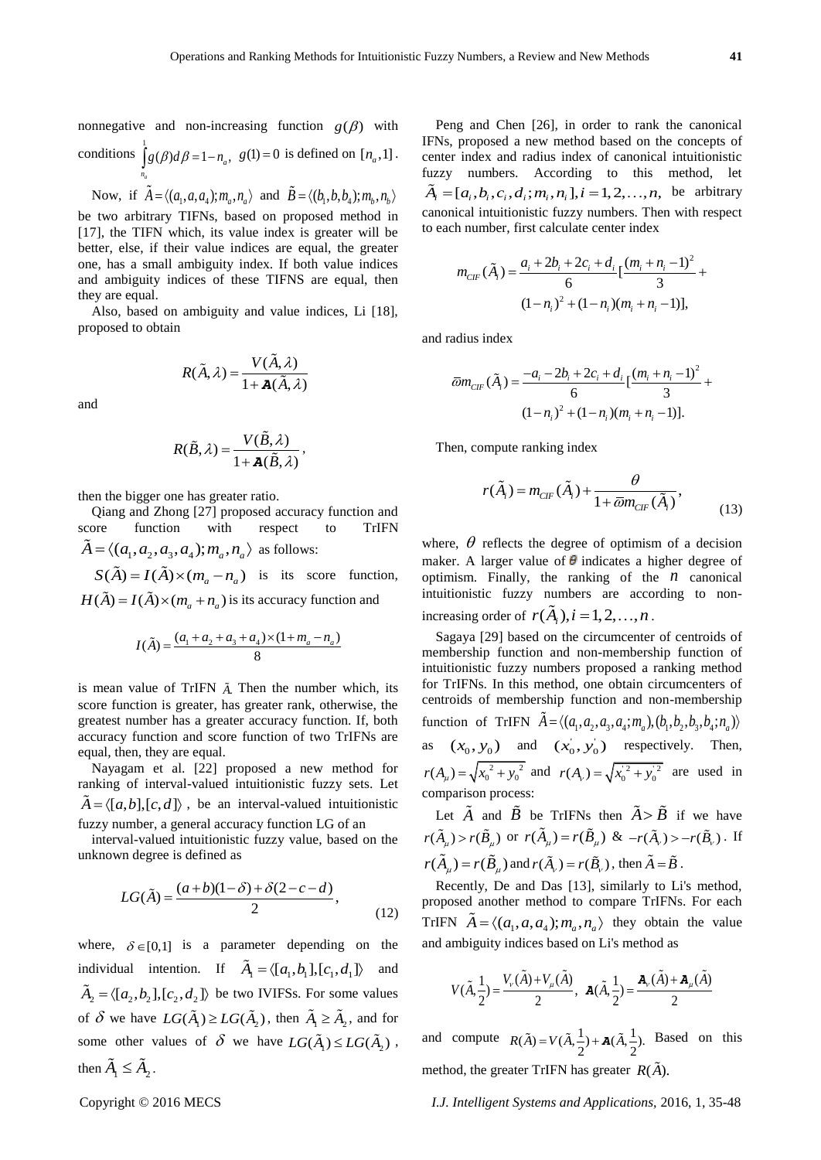nonnegative and non-increasing function  $g(\beta)$  with conditions  $\int g(\beta)d\beta = 1 - n_a$ ,  $g(1) = 0$  is defined on  $[n_a, 1]$ . *a n*

Now, if 
$$
\tilde{A} = \langle (a_1, a, a_4); m_a, n_a \rangle
$$
 and  $\tilde{B} = \langle (b_1, b, b_4); m_b, n_b \rangle$ 

be two arbitrary TIFNs, based on proposed method in [17], the TIFN which, its value index is greater will be better, else, if their value indices are equal, the greater one, has a small ambiguity index. If both value indices and ambiguity indices of these TIFNS are equal, then they are equal.

Also, based on ambiguity and value indices, Li [18], proposed to obtain

$$
R(\tilde{A}, \lambda) = \frac{V(\tilde{A}, \lambda)}{1 + \mathbf{A}(\tilde{A}, \lambda)}
$$

and

$$
R(\tilde{B},\lambda) = \frac{V(\tilde{B},\lambda)}{1 + \mathbf{A}(\tilde{B},\lambda)},
$$

then the bigger one has greater ratio.

Qiang and Zhong [27] proposed accuracy function and score function with respect to TrIFN  $\tilde{A} = \langle (a_1, a_2, a_3, a_4); m_a, n_a \rangle$  as follows:

 $S(\tilde{A}) = I(\tilde{A}) \times (m_a - n_a)$  is its score function,

 $H(\tilde{A}) = I(\tilde{A}) \times (m_a + n_a)$  is its accuracy function and

$$
I(\tilde{A}) = \frac{(a_1 + a_2 + a_3 + a_4) \times (1 + m_a - n_a)}{8}
$$

is mean value of TrIFN *A*. Then the number which, its score function is greater, has greater rank, otherwise, the greatest number has a greater accuracy function. If, both accuracy function and score function of two TrIFNs are equal, then, they are equal.

Nayagam et al. [22] proposed a new method for ranking of interval-valued intuitionistic fuzzy sets. Let  $A = \langle [a,b], [c,d] \rangle$ , be an interval-valued intuitionistic fuzzy number, a general accuracy function LG of an

interval-valued intuitionistic fuzzy value, based on the unknown degree is defined as

$$
LG(\tilde{A}) = \frac{(a+b)(1-\delta) + \delta(2-c-d)}{2},
$$
\n(12)

where,  $\delta \in [0,1]$  is a parameter depending on the individual intention. If  $\tilde{A}_1 = \langle [a_1, b_1], [c_1, d_1] \rangle$  and  $\tilde{A}_2 = \langle [a_2, b_2], [c_2, d_2] \rangle$  be two IVIFSs. For some values of  $\delta$  we have  $LG(\tilde{A}_1) \ge LG(\tilde{A}_2)$ , then  $\tilde{A}_1 \ge \tilde{A}_2$ , and for some other values of  $\delta$  we have  $LG(\tilde{A}_1) \leq LG(\tilde{A}_2)$ , then  $\tilde{A}_1 \leq \tilde{A}_2$ .

Peng and Chen [26], in order to rank the canonical IFNs, proposed a new method based on the concepts of center index and radius index of canonical intuitionistic fuzzy numbers. According to this method, let fuzzy numbers. According to this method, let  $\tilde{A}_i = [a_i, b_i, c_i, d_i; m_i, n_i], i = 1, 2, ..., n$ , be arbitrary canonical intuitionistic fuzzy numbers. Then with respect to each number, first calculate center index

$$
m_{CIF}(\tilde{A}_i) = \frac{a_i + 2b_i + 2c_i + d_i}{6} \left[ \frac{(m_i + n_i - 1)^2}{3} + (1 - n_i)^2 + (1 - n_i)(m_i + n_i - 1) \right],
$$

and radius index

$$
\overline{\omega}m_{CIF}(\tilde{A}_i) = \frac{-a_i - 2b_i + 2c_i + d_i}{6} \left[ \frac{(m_i + n_i - 1)^2}{3} + (1 - n_i)^2 + (1 - n_i)(m_i + n_i - 1) \right].
$$

Then, compute ranking index

$$
r(\tilde{A}_i) = m_{CF}(\tilde{A}_i) + \frac{\theta}{1 + \overline{\omega} m_{CF}(\tilde{A}_i)},
$$
\n(13)

where,  $\theta$  reflects the degree of optimism of a decision maker. A larger value of  $\theta$  indicates a higher degree of optimism. Finally, the ranking of the  $n$  canonical intuitionistic fuzzy numbers are according to nonincreasing order of  $r(\tilde{A}_i), i = 1, 2, ..., n$ .

Sagaya [29] based on the circumcenter of centroids of membership function and non-membership function of intuitionistic fuzzy numbers proposed a ranking method for TrIFNs. In this method, one obtain circumcenters of centroids of membership function and non-membership centroids of membership function and non-membership<br>function of TrIFN  $\tilde{A} = \langle (a_1, a_2, a_3, a_4; m_a), (b_1, b_2, b_3, b_4; n_a) \rangle$ as  $(x_0, y_0)$  and  $(x_0, y_0)$  respectively. Then,  $r(A_\mu) = \sqrt{x_0^2 + y_0^2}$  and  $r(A_\nu) = \sqrt{x_0^2 + y_0^2}$  are used in comparison process:

Let  $\overrightarrow{A}$  and  $\overrightarrow{B}$  be TrIFNs then  $\overrightarrow{A} > \overrightarrow{B}$  if we have  $r(\tilde{A}_{\mu}) > r(\tilde{B}_{\mu})$  or  $r(\tilde{A}_{\mu}) = r(\tilde{B}_{\mu})$  &  $-r(\tilde{A}_{\nu}) > -r(\tilde{B}_{\nu})$ . If  $r(A_\mu) = r(\tilde{B}_\mu)$  and  $r(\tilde{A}_\nu) = r(\tilde{B}_\nu)$ , then  $\tilde{A} = \tilde{B}$ .

Recently, De and Das [13], similarly to Li's method, proposed another method to compare TrIFNs. For each TrIFN  $\tilde{A} = \langle (a_1, a, a_4); m_a, n_a \rangle$  they obtain the value and ambiguity indices based on Li's method as

$$
V(\tilde{A}, \frac{1}{2}) = \frac{V_v(\tilde{A}) + V_u(\tilde{A})}{2}, \quad \mathbf{A}(\tilde{A}, \frac{1}{2}) = \frac{\mathbf{A}_v(\tilde{A}) + \mathbf{A}_u(\tilde{A})}{2}
$$

and compute  $R(\tilde{A}) = V(\tilde{A}, \frac{1}{2}) + A(\tilde{A}, \frac{1}{2})$ . Based on this method, the greater TrIFN has greater  $R(A)$ .

Copyright © 2016 MECS *I.J. Intelligent Systems and Applications,* 2016, 1, 35-48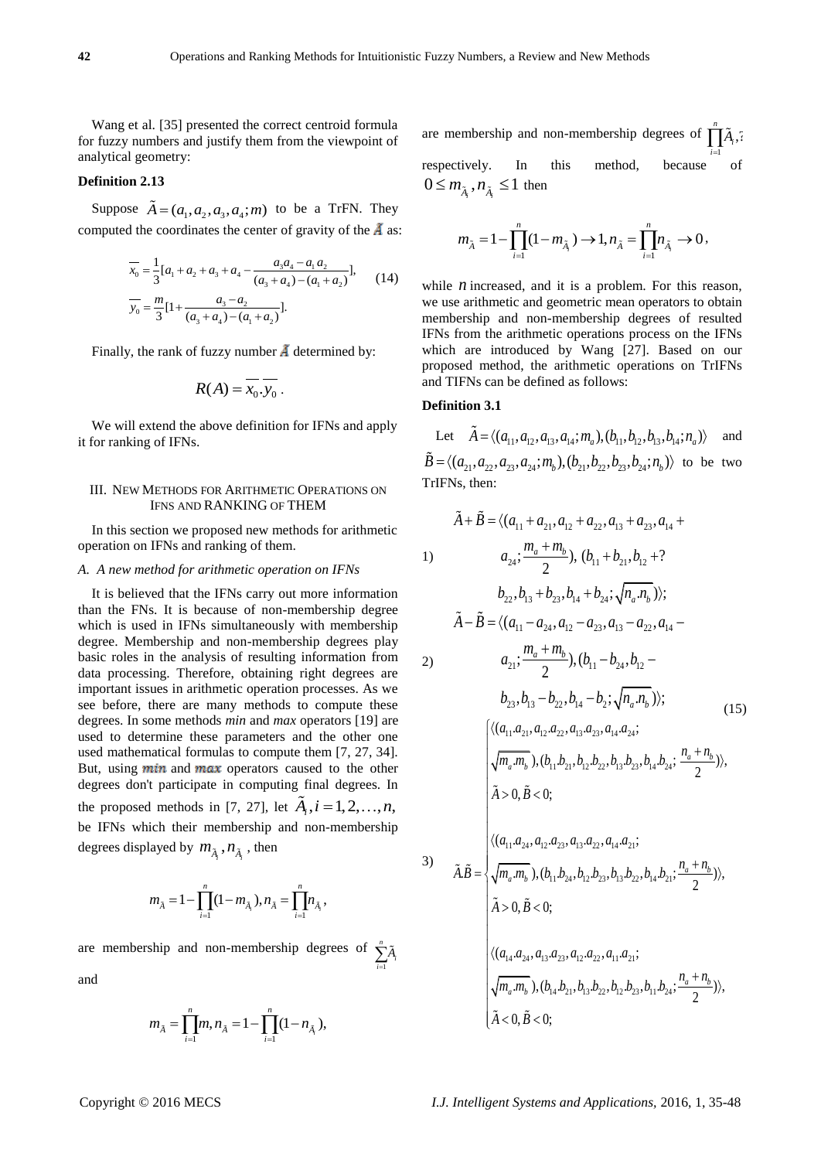Wang et al. [35] presented the correct centroid formula for fuzzy numbers and justify them from the viewpoint of analytical geometry:

## **Definition 2.13**

Suppose  $\tilde{A} = (a_1, a_2, a_3, a_4; m)$  to be a TrFN. They computed the coordinates the center of gravity of the  $\vec{A}$  as:

$$
\overline{x}_0 = \frac{1}{3} [a_1 + a_2 + a_3 + a_4 - \frac{a_3 a_4 - a_1 a_2}{(a_3 + a_4) - (a_1 + a_2)}],
$$
\n
$$
\overline{y}_0 = \frac{m}{3} [1 + \frac{a_3 - a_2}{(a_3 + a_4) - (a_1 + a_2)}].
$$
\n(14)

Finally, the rank of fuzzy number  $\tilde{A}$  determined by:

$$
R(A) = \overline{x_0 \cdot y_0} \, .
$$

We will extend the above definition for IFNs and apply it for ranking of IFNs.

## III. NEW METHODS FOR ARITHMETIC OPERATIONS ON IFNS AND RANKING OF THEM

In this section we proposed new methods for arithmetic operation on IFNs and ranking of them.

#### *A. A new method for arithmetic operation on IFNs*

It is believed that the IFNs carry out more information than the FNs. It is because of non-membership degree which is used in IFNs simultaneously with membership degree. Membership and non-membership degrees play basic roles in the analysis of resulting information from data processing. Therefore, obtaining right degrees are important issues in arithmetic operation processes. As we see before, there are many methods to compute these degrees. In some methods *min* and *max* operators [19] are used to determine these parameters and the other one used mathematical formulas to compute them [7, 27, 34]. But, using  $min$  and  $max$  operators caused to the other degrees don't participate in computing final degrees. In the proposed methods in [7, 27], let  $\tilde{A}_i$ ,  $i = 1, 2, ..., n$ , be IFNs which their membership and non-membership degrees displayed by  $m_{\tilde{A}_i}$ ,  $n_{\tilde{A}_i}$ , then

$$
m_{\tilde{A}} = 1 - \prod_{i=1}^n (1 - m_{\tilde{A}_i}), n_{\tilde{A}} = \prod_{i=1}^n m_{\tilde{A}_i},
$$

are membership and non-membership degrees of 1 *n*  $\sum_{i=1}$  $\tilde{A}_i$ and

$$
m_{\tilde{A}} = \prod_{i=1}^{n} m, n_{\tilde{A}} = 1 - \prod_{i=1}^{n} (1 - n_{\tilde{A}_i}),
$$

are membership and non-membership degrees of  $\prod_{i=1}^{n} \tilde{A}_i$ ,? respectively. In this method, because of *i A*

 $0 \leq m_{\tilde{A}_i}, n_{\tilde{A}_i} \leq 1$  then

$$
m_{\tilde{A}} = 1 - \prod_{i=1}^{n} (1 - m_{\tilde{A}_i}) \to 1, n_{\tilde{A}} = \prod_{i=1}^{n} n_{\tilde{A}_i} \to 0,
$$

while  $n$  increased, and it is a problem. For this reason, we use arithmetic and geometric mean operators to obtain membership and non-membership degrees of resulted IFNs from the arithmetic operations process on the IFNs which are introduced by Wang [27]. Based on our proposed method, the arithmetic operations on TrIFNs and TIFNs can be defined as follows:

## **Definition 3.1**

Let  $\tilde{A} = \langle (a_{11}, a_{12}, a_{13}, a_{14}; m_a), (b_{11}, b_{12}, b_{13}, b_{14}; n_a) \rangle$  and and Let  $A = \langle (a_{11}, a_{12}, a_{13}, a_{14}; m_a), (b_{11}, b_{12}, b_{13}, b_{14}; n_a) \rangle$  and<br>  $\tilde{B} = \langle (a_{21}, a_{22}, a_{23}, a_{24}; m_b), (b_{21}, b_{22}, b_{23}, b_{24}; n_b) \rangle$  to be two TrIFNs, then:

$$
\tilde{A} + \tilde{B} = \langle (a_{11} + a_{21}, a_{12} + a_{22}, a_{13} + a_{23}, a_{14} + a_{24}, \frac{m_a + m_b}{2}), (b_{11} + b_{21}, b_{12} + ?
$$
\n
$$
b_{22}, b_{13} + b_{23}, b_{14} + b_{24}, \sqrt{n_a.n_b} \rangle;
$$
\n
$$
\tilde{A} - \tilde{B} = \langle (a_{11} - a_{24}, a_{12} - a_{23}, a_{13} - a_{22}, a_{14} - a_{21}; \frac{m_a + m_b}{2}), (b_{11} - b_{24}, b_{12} - b_{23}, b_{13} - b_{22}, b_{14} - b_2; \sqrt{n_a.n_b}) \rangle;
$$
\n
$$
\langle (a_{11}a_{21}, a_{12}a_{22}, a_{13}a_{23}, a_{14}a_{24}; \sqrt{m_a.m_b}), (b_{11}b_{21}, b_{12}b_{22}, b_{13}b_{23}, b_{14}b_{24}; \frac{n_a + n_b}{2}) \rangle,
$$
\n
$$
\tilde{A} > 0, \tilde{B} < 0;
$$
\n
$$
\langle (a_{11}a_{24}, a_{12}a_{23}, a_{13}a_{22}, a_{14}a_{21}; \frac{n_a + n_b}{2}) \rangle,
$$
\n
$$
\tilde{A} > 0, \tilde{B} < 0;
$$
\n
$$
\langle (a_{11}a_{24}, a_{12}a_{23}, a_{13}a_{22}, a_{14}a_{21}; \frac{n_a + n_b}{2}) \rangle,
$$
\n
$$
\tilde{A} > 0, \tilde{B} < 0;
$$
\n
$$
\langle (a_{14}a_{24}, a_{13}a_{23}, a_{12}a_{22}, a_{11}a_{21}; \frac{n_a + n_b}{2}) \rangle,
$$
\n
$$
\tilde{A} > 0, \tilde{B} < 0;
$$
\n
$$
\langle (a_{14}a_{24}, a_{13}a_{23}, a_{12}a_{22}, a_{11}a_{21}; \frac{n_a + n_b}{2}) \rangle,
$$
\n<math display="</math>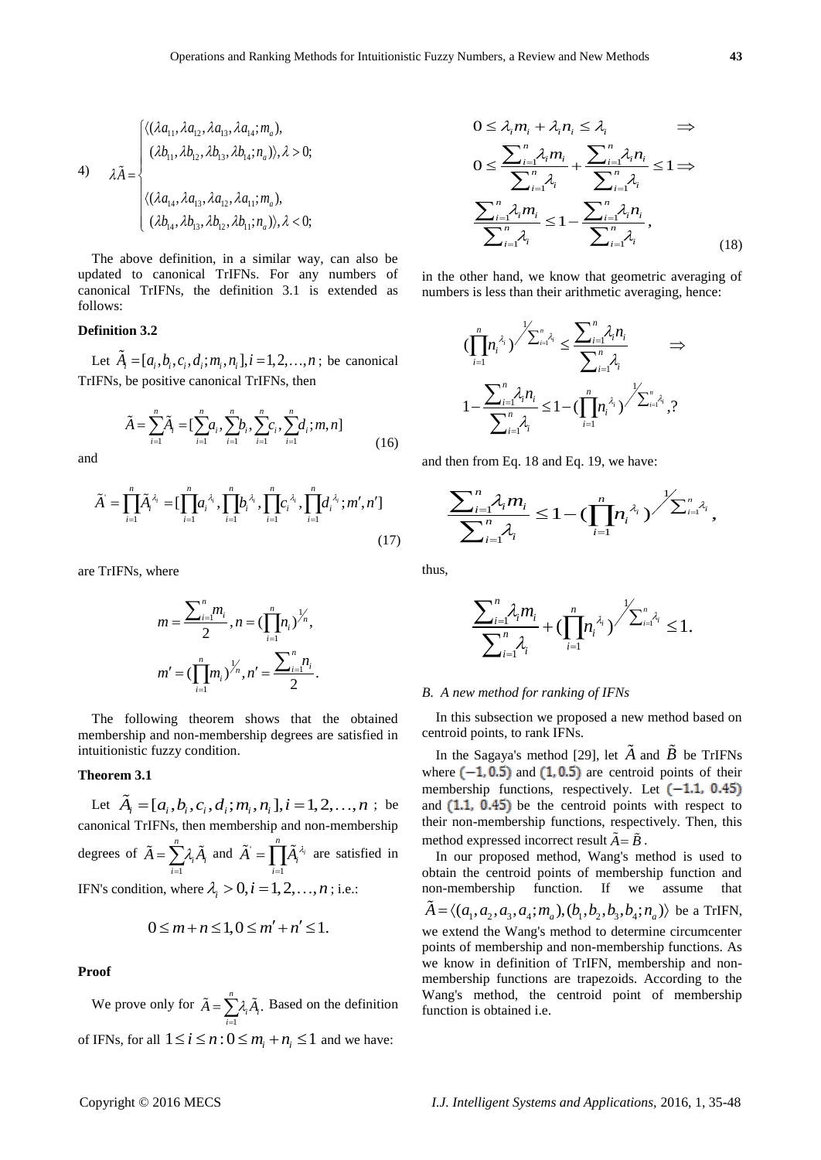4)  
\n
$$
\tilde{\mathbf{A}} = \begin{cases}\n\langle (\lambda a_{11}, \lambda a_{12}, \lambda a_{13}, \lambda a_{14}; m_a), \\
(\lambda b_{11}, \lambda b_{12}, \lambda b_{13}, \lambda b_{14}; n_a) \rangle, \lambda > 0; \\
\langle (\lambda a_{14}, \lambda a_{13}, \lambda a_{12}, \lambda a_{11}; m_a), \\
(\lambda b_{14}, \lambda b_{13}, \lambda b_{12}, \lambda b_{11}; n_a) \rangle, \lambda < 0;\n\end{cases}
$$

The above definition, in a similar way, can also be updated to canonical TrIFNs. For any numbers of canonical TrIFNs, the definition 3.1 is extended as follows:

# **Definition 3.2**

Let  $\tilde{A}_i = [a_i, b_i, c_i, d_i; m_i, n_i], i = 1, 2, ..., n$ ; be canonical TrIFNs, be positive canonical TrIFNs, then

$$
\tilde{A} = \sum_{i=1}^{n} \tilde{A}_i = \left[\sum_{i=1}^{n} a_i, \sum_{i=1}^{n} b_i, \sum_{i=1}^{n} c_i, \sum_{i=1}^{n} d_i; m, n\right]
$$
(16)

and

and  
\n
$$
\tilde{A} = \prod_{i=1}^{n} \tilde{A}_i^{\lambda_i} = \left[ \prod_{i=1}^{n} a_i^{\lambda_i}, \prod_{i=1}^{n} b_i^{\lambda_i}, \prod_{i=1}^{n} c_i^{\lambda_i}, \prod_{i=1}^{n} d_i^{\lambda_i}; m', n' \right]
$$
\n(17)

are TrIFNs, where

$$
m = \frac{\sum_{i=1}^{n} m_i}{2}, n = (\prod_{i=1}^{n} n_i)^{\frac{1}{n}},
$$
  

$$
m' = (\prod_{i=1}^{n} m_i)^{\frac{1}{n}}, n' = \frac{\sum_{i=1}^{n} n_i}{2}.
$$

The following theorem shows that the obtained membership and non-membership degrees are satisfied in intuitionistic fuzzy condition.

# **Theorem 3.1**

Let  $\tilde{A}_i = [a_i, b_i, c_i, d_i; m_i, n_i], i = 1, 2, ..., n$ ; be canonical TrIFNs, then membership and non-membership degrees of 1 *n*  $\sum_{i=1}^{\infty}$ <sup> $\alpha_i$ </sup>  $A = \sum A_i A_i$  $=\sum_{i=1} \lambda_i \widetilde{A}_i$  and  $\widetilde{A}$ 1  $\sum_{i=1}^{n}$   $\tilde{\lambda}$ *i i*  $\tilde{A} = \prod \tilde{A}_i^{\lambda_i}$  $=\prod_{i=1}^{\infty} \tilde{A}_i^{\lambda_i}$  are satisfied in IFN's condition, where  $\lambda_i > 0, i = 1, 2, ..., n$ ; i.e.:

$$
0 \le m+n \le 1, 0 \le m'+n' \le 1.
$$

# **Proof**

We prove only for 1 . *n*  $\sum_{i=1}^{r_i}$  $A = \sum A_i A_i$  $=\sum_{i=1} \lambda_i \tilde{A}_i$ . Based on the definition of IFNs, for all  $1 \le i \le n$ :  $0 \le m_i + n_i \le 1$  and we have:

$$
0 \leq \lambda_i m_i + \lambda_i n_i \leq \lambda_i \qquad \Rightarrow
$$
  
\n
$$
0 \leq \frac{\sum_{i=1}^n \lambda_i m_i}{\sum_{i=1}^n \lambda_i} + \frac{\sum_{i=1}^n \lambda_i n_i}{\sum_{i=1}^n \lambda_i} \leq 1 \Rightarrow
$$
  
\n
$$
\frac{\sum_{i=1}^n \lambda_i m_i}{\sum_{i=1}^n \lambda_i} \leq 1 - \frac{\sum_{i=1}^n \lambda_i n_i}{\sum_{i=1}^n \lambda_i},
$$
  
\n(18)

in the other hand, we know that geometric averaging of numbers is less than their arithmetic averaging, hence:

$$
\left(\prod_{i=1}^{n} n_i^{\lambda_i}\right)^{1/2} \sum_{i=1}^{n} \lambda_i
$$
\n
$$
\frac{\sum_{i=1}^{n} \lambda_i n_i}{\sum_{i=1}^{n} \lambda_i}
$$
\n
$$
1 - \frac{\sum_{i=1}^{n} \lambda_i n_i}{\sum_{i=1}^{n} \lambda_i} \le 1 - \left(\prod_{i=1}^{n} n_i^{\lambda_i}\right)^{1/2} \sum_{i=1}^{n} \lambda_i
$$

and then from Eq. 18 and Eq. 19, we have:

$$
\frac{\sum_{i=1}^n \lambda_i m_i}{\sum_{i=1}^n \lambda_i} \leq 1 - \left(\prod_{i=1}^n n_i^{\lambda_i}\right)^{\frac{1}{\sum_{i=1}^n \lambda_i}},
$$

thus,

$$
\frac{\sum_{i=1}^n \lambda_i m_i}{\sum_{i=1}^n \lambda_i} + (\prod_{i=1}^n n_i^{\lambda_i})^{\frac{1}{\sum_{i=1}^n \lambda_i}} \leq 1.
$$

#### *B. A new method for ranking of IFNs*

In this subsection we proposed a new method based on centroid points, to rank IFNs.

In the Sagaya's method [29], let  $A$  and  $B$  be TrIFNs where  $(-1, 0.5)$  and  $(1, 0.5)$  are centroid points of their membership functions, respectively. Let  $(-1.1, 0.45)$ and  $(1.1, 0.45)$  be the centroid points with respect to their non-membership functions, respectively. Then, this method expressed incorrect result  $\tilde{A} = \tilde{B}$ .

In our proposed method, Wang's method is used to obtain the centroid points of membership function and non-membership function. If we assume that non-membership function. If we assume that<br> $\tilde{A} = \langle (a_1, a_2, a_3, a_4; m_a), (b_1, b_2, b_3, b_4; n_a) \rangle$  be a TrIFN, we extend the Wang's method to determine circumcenter points of membership and non-membership functions. As we know in definition of TrIFN, membership and nonmembership functions are trapezoids. According to the Wang's method, the centroid point of membership function is obtained i.e.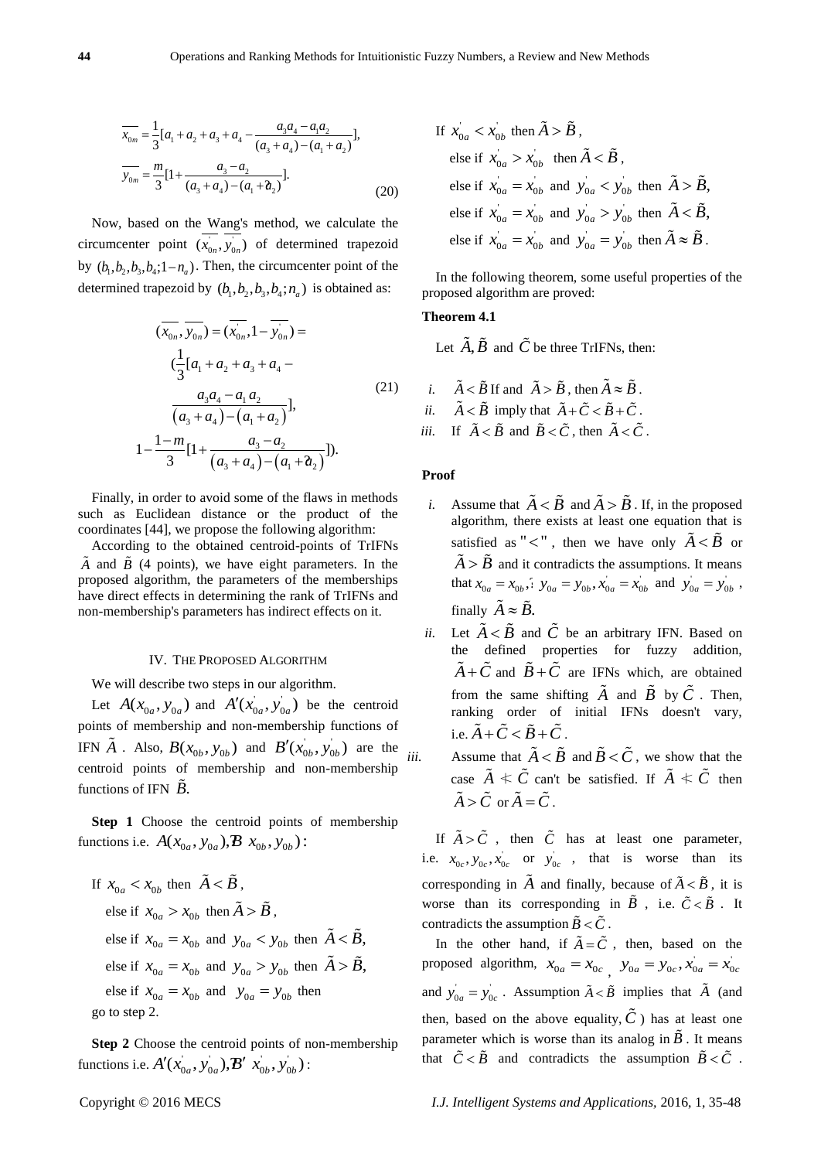$$
\overline{x_{0m}} = \frac{1}{3} [a_1 + a_2 + a_3 + a_4 - \frac{a_3 a_4 - a_1 a_2}{(a_3 + a_4) - (a_1 + a_2)}],
$$
  
\n
$$
\overline{y_{0m}} = \frac{m}{3} [1 + \frac{a_3 - a_2}{(a_3 + a_4) - (a_1 + a_2)}].
$$
\n(20)

Now, based on the Wang's method, we calculate the circumcenter point  $(x_{0n}, y_{0n})$  of determined trapezoid by  $(b_1, b_2, b_3, b_4; 1 - n_a)$ . Then, the circumcenter point of the determined trapezoid by  $(b_1, b_2, b_3, b_4; n_a)$  is obtained as:

$$
(\overline{x_{0n}}, \overline{y_{0n}}) = (\overline{x_{0n}}, 1 - \overline{y_{0n}}) =
$$
  

$$
(\frac{1}{3}[a_1 + a_2 + a_3 + a_4 - \overline{\smash{\big)}\ 3}a_3a_4 - a_1a_2
$$
  

$$
\overline{\big(a_3 + a_4\big) - \big(a_1 + a_2\big)},
$$
  

$$
1 - \frac{1 - m}{3}[1 + \frac{a_3 - a_2}{(a_3 + a_4) - (a_1 + a_2)}].
$$
\n(21)

Finally, in order to avoid some of the flaws in methods such as Euclidean distance or the product of the coordinates [44], we propose the following algorithm:

According to the obtained centroid-points of TrIFNs  $\overline{A}$  and  $\overline{B}$  (4 points), we have eight parameters. In the proposed algorithm, the parameters of the memberships have direct effects in determining the rank of TrIFNs and non-membership's parameters has indirect effects on it.

#### IV. THE PROPOSED ALGORITHM

We will describe two steps in our algorithm.

Let  $A(x_{0a}, y_{0a})$  and  $A'(x_{0a}, y_{0a})$  be the centroid points of membership and non-membership functions of IFN  $\tilde{A}$ . Also,  $B(x_{0b}, y_{0b})$  and  $B'(x_{0b}, y_{0b})$  are the centroid points of membership and non-membership functions of IFN  $\overline{B}$ .

**Step 1** Choose the centroid points of membership functions i.e.  $A(x_{0a}, y_{0a}), B(x_{0b}, y_{0b})$ :

If 
$$
x_{0a} < x_{0b}
$$
 then  $\tilde{A} < \tilde{B}$ ,  
\nelse if  $x_{0a} > x_{0b}$  then  $\tilde{A} > \tilde{B}$ ,  
\nelse if  $x_{0a} = x_{0b}$  and  $y_{0a} < y_{0b}$  then  $\tilde{A} < \tilde{B}$ ,  
\nelse if  $x_{0a} = x_{0b}$  and  $y_{0a} > y_{0b}$  then  $\tilde{A} > \tilde{B}$ ,  
\nelse if  $x_{0a} = x_{0b}$  and  $y_{0a} = y_{0b}$  then  
\ngo to step 2.

**Step 2** Choose the centroid points of non-membership functions i.e.  $A'(x_{0a}^i, y_{0a}^i), B' (x_{0b}^i, y_{0b}^i)$ :

If 
$$
x_{0a} < x_{0b}
$$
 then  $\tilde{A} > \tilde{B}$ ,  
\nelse if  $x_{0a} > x_{0b}$  then  $\tilde{A} < \tilde{B}$ ,  
\nelse if  $x_{0a} = x_{0b}$  and  $y_{0a} < y_{0b}$  then  $\tilde{A} > \tilde{B}$ ,  
\nelse if  $x_{0a} = x_{0b}$  and  $y_{0a} > y_{0b}$  then  $\tilde{A} < \tilde{B}$ ,  
\nelse if  $x_{0a} = x_{0b}$  and  $y_{0a} = y_{0b}$  then  $\tilde{A} \approx \tilde{B}$ .

In the following theorem, some useful properties of the proposed algorithm are proved:

# **Theorem 4.1**

Let  $A, B$  and  $C$  be three TrIFNs, then:

*i.* 
$$
\tilde{A} < \tilde{B}
$$
 If and  $\tilde{A} > \tilde{B}$ , then  $\tilde{A} \approx \tilde{B}$ .  
\n*ii.*  $\tilde{A} < \tilde{B}$  imply that  $\tilde{A} + \tilde{C} < \tilde{B} + \tilde{C}$ .  
\n*iii.* If  $\tilde{A} < \tilde{B}$  and  $\tilde{B} < \tilde{C}$ , then  $\tilde{A} < \tilde{C}$ .

## **Proof**

- *i.* Assume that  $\overrightarrow{A} < \overrightarrow{B}$  and  $\overrightarrow{A} > \overrightarrow{B}$ . If, in the proposed algorithm, there exists at least one equation that is satisfied as " $\lt$ ", then we have only  $\tilde{A} \lt \tilde{B}$  or  $\tilde{A} > \tilde{B}$  and it contradicts the assumptions. It means that  $x_{0a} = x_{0b}$ ,  $y_{0a} = y_{0b}$ ,  $x_{0a} = x_{0b}$  and  $y_{0a} = y_{0b}$ , finally  $\tilde{A} \approx \tilde{B}$ .
- *ii.* Let  $\tilde{A} < \tilde{B}$  and  $\tilde{C}$  be an arbitrary IFN. Based on the defined properties for fuzzy addition,  $\tilde{A} + \tilde{C}$  and  $\tilde{B} + \tilde{C}$  are IFNs which, are obtained from the same shifting  $A$  and  $B$  by  $C$ . Then, ranking order of initial IFNs doesn't vary, i.e.  $\tilde{A} + \tilde{C} < \tilde{B} + \tilde{C}$ .
- *iii.* Assume that  $\tilde{A} < \tilde{B}$  and  $\tilde{B} < \tilde{C}$ , we show that the case  $A \nleq C$  can't be satisfied. If  $A \nleq C$  then  $\tilde{A} > \tilde{C}$  or  $\tilde{A} = \tilde{C}$ .

If  $\overrightarrow{A} > \overrightarrow{C}$ , then  $\overrightarrow{C}$  has at least one parameter, i.e.  $x_{0c}$ ,  $y_{0c}$ ,  $x_{0c}$  or  $y_{0c}$ , that is worse than its corresponding in A and finally, because of  $\tilde{A} < \tilde{B}$ , it is worse than its corresponding in B, i.e.  $\tilde{C} < \tilde{B}$ . It contradicts the assumption  $\tilde{B} < \tilde{C}$ .

In the other hand, if  $A = C$ , then, based on the proposed algorithm,  $x_{0a} = x_{0c}$ ,  $y_{0a} = y_{0c}$ ,  $x_{0a} = x_{0c}$ and  $y_{0a}^{\dagger} = y_{0c}^{\dagger}$ . Assumption  $\tilde{A} < \tilde{B}$  implies that  $\tilde{A}$  (and then, based on the above equality,  $\hat{C}$ ) has at least one parameter which is worse than its analog in  $\vec{B}$ . It means that  $\tilde{C} < \tilde{B}$  and contradicts the assumption  $\tilde{B} < \tilde{C}$ .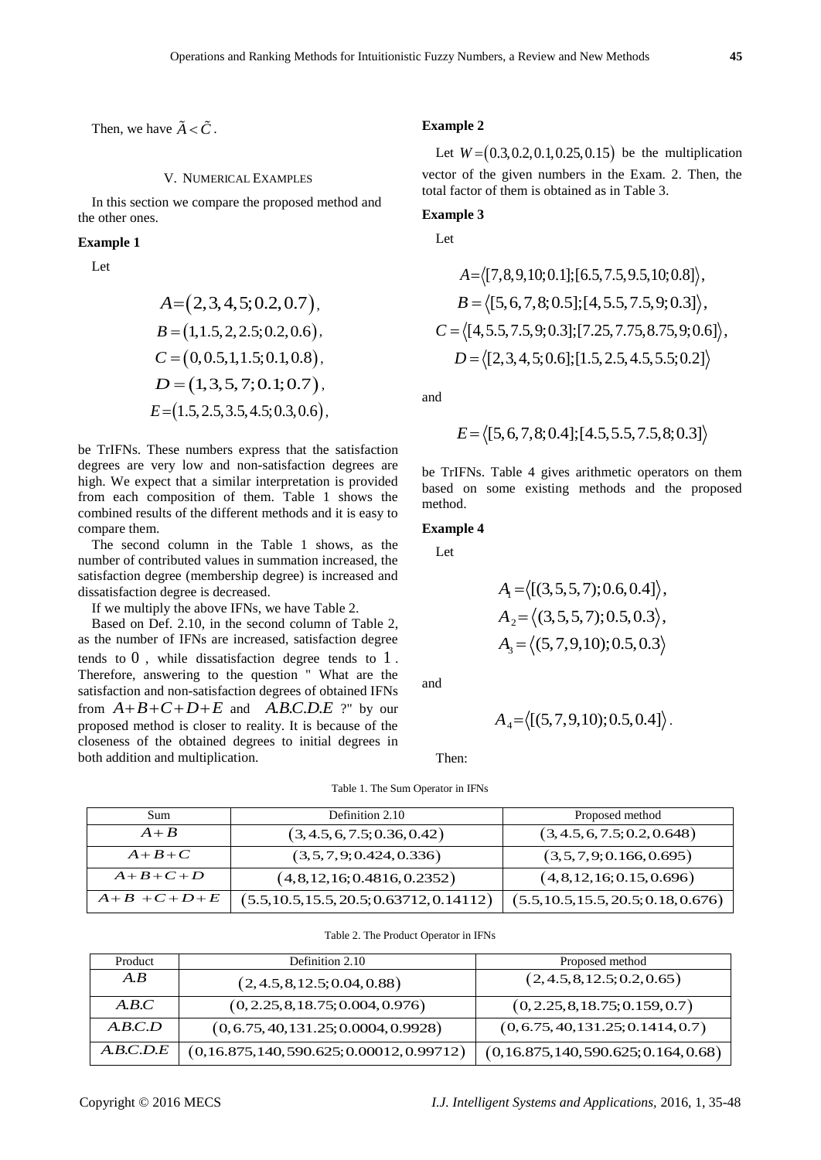Then, we have  $\tilde{A} < \tilde{C}$ .

## V. NUMERICAL EXAMPLES

In this section we compare the proposed method and the other ones.

## **Example 1**

Let

$$
A = (2, 3, 4, 5; 0.2, 0.7),
$$
  
\n
$$
B = (1, 1.5, 2, 2.5; 0.2, 0.6),
$$
  
\n
$$
C = (0, 0.5, 1, 1.5; 0.1, 0.8),
$$
  
\n
$$
D = (1, 3, 5, 7; 0.1; 0.7),
$$
  
\n
$$
E = (1.5, 2.5, 3.5, 4.5; 0.3, 0.6),
$$

be TrIFNs. These numbers express that the satisfaction degrees are very low and non-satisfaction degrees are high. We expect that a similar interpretation is provided from each composition of them. Table 1 shows the combined results of the different methods and it is easy to compare them.

The second column in the Table 1 shows, as the number of contributed values in summation increased, the satisfaction degree (membership degree) is increased and dissatisfaction degree is decreased.

If we multiply the above IFNs, we have Table 2.

Based on Def. 2.10, in the second column of Table 2, as the number of IFNs are increased, satisfaction degree tends to 0 , while dissatisfaction degree tends to 1 . Therefore, answering to the question " What are the satisfaction and non-satisfaction degrees of obtained IFNs from  $A+B+C+D+E$  and  $\overline{A}$ *B.C.D.E* ?" by our proposed method is closer to reality. It is because of the closeness of the obtained degrees to initial degrees in both addition and multiplication.

**Example 2**

Let  $W = (0.3, 0.2, 0.1, 0.25, 0.15)$  be the multiplication vector of the given numbers in the Exam. 2. Then, the total factor of them is obtained as in Table 3.

# **Example 3**

Let

$$
A = \langle [7,8,9,10;0.1]; [6.5,7.5,9.5,10;0.8] \rangle,
$$
  
\n
$$
B = \langle [5,6,7,8;0.5]; [4,5.5,7.5,9;0.3] \rangle,
$$
  
\n
$$
C = \langle [4,5.5,7.5,9;0.3]; [7.25,7.75,8.75,9;0.6] \rangle,
$$
  
\n
$$
D = \langle [2,3,4,5;0.6]; [1.5,2.5,4.5,5.5;0.2] \rangle
$$

and

$$
E = \langle [5, 6, 7, 8; 0.4]; [4.5, 5.5, 7.5, 8; 0.3] \rangle
$$

be TrIFNs. Table 4 gives arithmetic operators on them based on some existing methods and the proposed method.

#### **Example 4**

Let

$$
A1 = \langle [(3,5,5,7); 0.6, 0.4] \rangle,
$$
  
\n
$$
A2 = \langle (3,5,5,7); 0.5, 0.3 \rangle,
$$
  
\n
$$
A3 = \langle (5,7,9,10); 0.5, 0.3 \rangle
$$

and

$$
A_4 = \langle [(5, 7, 9, 10); 0.5, 0.4] \rangle.
$$

Then:

#### Table 1. The Sum Operator in IFNs

| Sum         | Definition 2.10                             | Proposed method                      |  |
|-------------|---------------------------------------------|--------------------------------------|--|
| $A+B$       | (3, 4.5, 6, 7.5; 0.36, 0.42)                | (3, 4.5, 6, 7.5; 0.2, 0.648)         |  |
| $A+B+C$     | (3,5,7,9;0.424,0.336)                       | (3,5,7,9;0.166,0.695)                |  |
| $A+B+C+D$   | (4,8,12,16;0.4816,0.2352)                   | (4, 8, 12, 16; 0.15, 0.696)          |  |
| $A+B+C+D+E$ | $(5.5, 10.5, 15.5, 20.5; 0.63712, 0.14112)$ | (5.5, 10.5, 15.5, 20.5, 0.18, 0.676) |  |

| Product   | Definition 2.10                          | Proposed method                    |  |
|-----------|------------------------------------------|------------------------------------|--|
| A.B       | (2, 4.5, 8, 12.5; 0.04, 0.88)            | (2, 4.5, 8, 12.5; 0.2, 0.65)       |  |
| A.B.C     | (0, 2.25, 8, 18.75; 0.004, 0.976)        | (0, 2.25, 8, 18.75; 0.159, 0.7)    |  |
| A.B.C.D   | (0, 6.75, 40, 131.25; 0.0004, 0.9928)    | (0, 6.75, 40, 131.25; 0.1414, 0.7) |  |
| A.B.C.D.E | $(0,16.875,140,590.625;0.00012,0.99712)$ | (0,16.875,140,590.625;0.164,0.68)  |  |

Table 2. The Product Operator in IFNs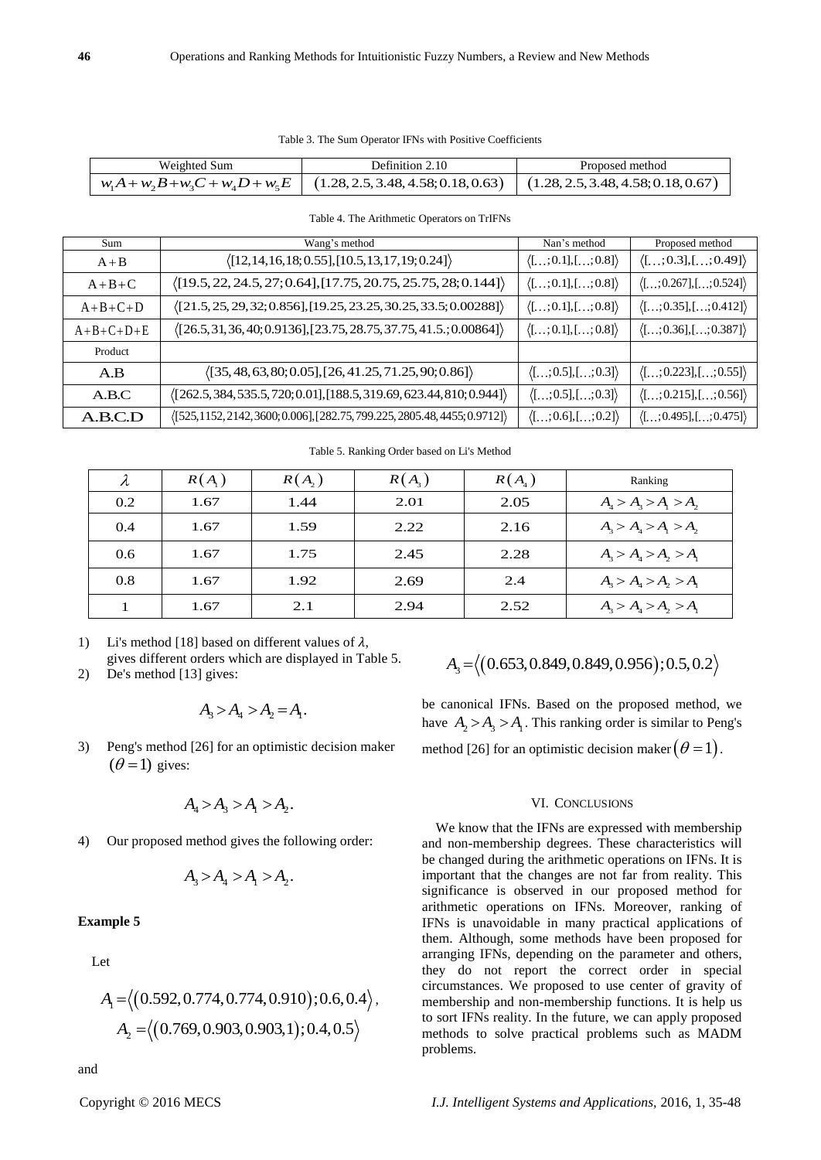| Weighted Sum | Definition 2.10                                                                                                | Proposed method |
|--------------|----------------------------------------------------------------------------------------------------------------|-----------------|
|              | $w_1A + w_2B + w_3C + w_4D + w_5E$   (1.28, 2.5, 3.48, 4.58; 0.18, 0.63)   (1.28, 2.5, 3.48, 4.58; 0.18, 0.67) |                 |

| Sum         | Wang's method                                                                         | Nan's method                         | Proposed method                        |
|-------------|---------------------------------------------------------------------------------------|--------------------------------------|----------------------------------------|
| $A + B$     | $\langle$ [12,14,16,18;0.55],[10.5,13,17,19;0.24])                                    | $\langle$ [;0.1],[;0.8] $\rangle$    | $\langle$ [;0.3],[;0.49] $\rangle$     |
| $A+B+C$     | $\langle$ [19.5, 22, 24.5, 27; 0.64], [17.75, 20.75, 25.75, 28; 0.144])               | $\langle$ [;0.1],[;0.8] $\rangle$    | $\langle$ [;0.267],[;0.524] $\rangle$  |
| $A+B+C+D$   | $\langle$ [21.5, 25, 29, 32; 0.856], [19.25, 23.25, 30.25, 33.5; 0.00288])            | $\langle$ [;0.1],[;0.8] $\rangle$    | $\langle$ [;0.35],[;0.412] $\rangle$   |
| $A+B+C+D+E$ | $\langle$ [26.5,31,36,40;0.9136],[23.75,28.75,37.75,41.5.;0.00864])                   | $\langle$ [; 0.1], [; 0.8] $\rangle$ | $\langle$ [;0.36],[;0.387] $\rangle$   |
| Product     |                                                                                       |                                      |                                        |
| A.B         | $\langle$ [35, 48, 63, 80; 0.05], [26, 41.25, 71.25, 90; 0.86] $\rangle$              | $\langle$ [;0.5],[;0.3] $\rangle$    | $\langle$ [;0.223],[;0.55] $\rangle$   |
| A.B.C.      | $\langle [262.5, 384, 535.5, 720; 0.01], [188.5, 319.69, 623.44, 810; 0.944] \rangle$ | $\langle$ [;0.5],[;0.3] $\rangle$    | $\langle$ [; 0.215],[; 0.56] $\rangle$ |
| A.B.C.D     | $\langle$ [525,1152,2142,3600;0.006],[282.75,799.225,2805.48,4455;0.9712] $\rangle$   | $\langle$ [;0.6],[;0.2] $\rangle$    | $\langle$ [;0.495],[;0.475] $\rangle$  |

Table 4. The Arithmetic Operators on TrIFNs

Table 5. Ranking Order based on Li's Method

| λ   | $R(A_1)$ | $R(A_2)$ | $R(A_{3})$ | $R(A_4)$ | Ranking                 |
|-----|----------|----------|------------|----------|-------------------------|
| 0.2 | 1.67     | 1.44     | 2.01       | 2.05     | $A_4 > A_3 > A_1 > A_2$ |
| 0.4 | 1.67     | 1.59     | 2.22       | 2.16     | $A_3 > A_4 > A_1 > A_2$ |
| 0.6 | 1.67     | 1.75     | 2.45       | 2.28     | $A_3 > A_4 > A_2 > A_1$ |
| 0.8 | 1.67     | 1.92     | 2.69       | 2.4      | $A_3 > A_4 > A_2 > A_1$ |
|     | 1.67     | 2.1      | 2.94       | 2.52     | $A_3 > A_4 > A_2 > A_1$ |

1) Li's method [18] based on different values of  $\lambda$ , gives different orders which are displayed in Table 5.

2) De's method [13] gives:

$$
A_3 > A_4 > A_2 = A_1.
$$

3) Peng's method [26] for an optimistic decision maker  $(\theta = 1)$  gives:

$$
A_4 > A_3 > A_1 > A_2.
$$

4) Our proposed method gives the following order:

$$
A_{3} > A_{4} > A_{1} > A_{2}.
$$

**Example 5**

Let

$$
A_1 = \langle (0.592, 0.774, 0.774, 0.910); 0.6, 0.4 \rangle,
$$
  

$$
A_2 = \langle (0.769, 0.903, 0.903, 1); 0.4, 0.5 \rangle
$$

$$
A_3 = \langle (0.653, 0.849, 0.849, 0.956); 0.5, 0.2 \rangle
$$

be canonical IFNs. Based on the proposed method, we have  $A_2 > A_3 > A_1$ . This ranking order is similar to Peng's

method [26] for an optimistic decision maker  $(\theta = 1)$ .

#### VI. CONCLUSIONS

We know that the IFNs are expressed with membership and non-membership degrees. These characteristics will be changed during the arithmetic operations on IFNs. It is important that the changes are not far from reality. This significance is observed in our proposed method for arithmetic operations on IFNs. Moreover, ranking of IFNs is unavoidable in many practical applications of them. Although, some methods have been proposed for arranging IFNs, depending on the parameter and others, they do not report the correct order in special circumstances. We proposed to use center of gravity of membership and non-membership functions. It is help us to sort IFNs reality. In the future, we can apply proposed methods to solve practical problems such as MADM problems.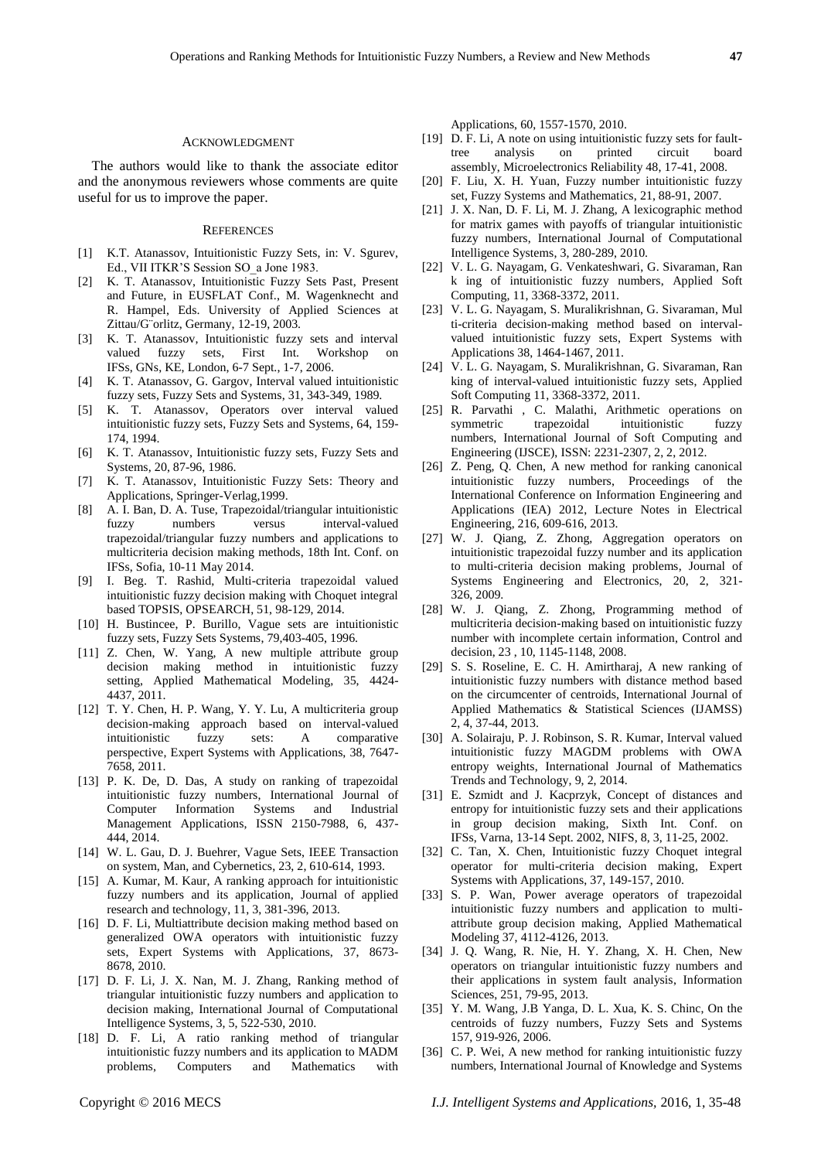The authors would like to thank the associate editor and the anonymous reviewers whose comments are quite useful for us to improve the paper.

#### **REFERENCES**

- [1] K.T. Atanassov, Intuitionistic Fuzzy Sets, in: V. Sgurev, Ed., VII ITKR'S Session SO\_a Jone 1983.
- [2] K. T. Atanassov, Intuitionistic Fuzzy Sets Past, Present and Future, in EUSFLAT Conf., M. Wagenknecht and R. Hampel, Eds. University of Applied Sciences at Zittau/G¨orlitz, Germany, 12-19, 2003.
- [3] K. T. Atanassov, Intuitionistic fuzzy sets and interval valued fuzzy sets, First Int. Workshop on IFSs, GNs, KE, London, 6-7 Sept., 1-7, 2006.
- [4] K. T. Atanassov, G. Gargov, Interval valued intuitionistic fuzzy sets, Fuzzy Sets and Systems, 31, 343-349, 1989.
- [5] K. T. Atanassov, Operators over interval valued intuitionistic fuzzy sets, Fuzzy Sets and Systems, 64, 159- 174, 1994.
- [6] K. T. Atanassov, Intuitionistic fuzzy sets, Fuzzy Sets and Systems, 20, 87-96, 1986.
- [7] K. T. Atanassov, Intuitionistic Fuzzy Sets: Theory and Applications, Springer-Verlag,1999.
- [8] A. I. Ban, D. A. Tuse, Trapezoidal/triangular intuitionistic fuzzy numbers versus interval-valued trapezoidal/triangular fuzzy numbers and applications to multicriteria decision making methods, 18th Int. Conf. on IFSs, Sofia, 10-11 May 2014.
- [9] I. Beg. T. Rashid, Multi-criteria trapezoidal valued intuitionistic fuzzy decision making with Choquet integral based TOPSIS, OPSEARCH, 51, 98-129, 2014.
- [10] H. Bustincee, P. Burillo, Vague sets are intuitionistic fuzzy sets, Fuzzy Sets Systems, 79,403-405, 1996.
- [11] Z. Chen, W. Yang, A new multiple attribute group decision making method in intuitionistic fuzzy setting, Applied Mathematical Modeling, 35, 4424- 4437, 2011.
- [12] T. Y. Chen, H. P. Wang, Y. Y. Lu, A multicriteria group decision-making approach based on interval-valued intuitionistic fuzzy sets: A comparative perspective, Expert Systems with Applications, 38, 7647- 7658, 2011.
- [13] P. K. De, D. Das, A study on ranking of trapezoidal intuitionistic fuzzy numbers, International Journal of Computer Information Systems and Industrial Management Applications, ISSN 2150-7988, 6, 437- 444, 2014.
- [14] W. L. Gau, D. J. Buehrer, Vague Sets, IEEE Transaction on system, Man, and Cybernetics, 23, 2, 610-614, 1993.
- [15] A. Kumar, M. Kaur, A ranking approach for intuitionistic fuzzy numbers and its application, Journal of applied research and technology, 11, 3, 381-396, 2013.
- [16] D. F. Li, Multiattribute decision making method based on generalized OWA operators with intuitionistic fuzzy sets, Expert Systems with Applications, 37, 8673- 8678, 2010.
- [17] D. F. Li, J. X. Nan, M. J. Zhang, Ranking method of triangular intuitionistic fuzzy numbers and application to decision making, International Journal of Computational Intelligence Systems, 3, 5, 522-530, 2010.
- [18] D. F. Li, A ratio ranking method of triangular intuitionistic fuzzy numbers and its application to MADM problems, Computers and Mathematics with

Applications, 60, 1557-1570, 2010.

- [19] D. F. Li, A note on using intuitionistic fuzzy sets for faulttree analysis on printed circuit board assembly, Microelectronics Reliability 48, 17-41, 2008.
- [20] F. Liu, X. H. Yuan, Fuzzy number intuitionistic fuzzy set, Fuzzy Systems and Mathematics, 21, 88-91, 2007.
- [21] J. X. Nan, D. F. Li, M. J. Zhang, A lexicographic method for matrix games with payoffs of triangular intuitionistic fuzzy numbers, International Journal of Computational Intelligence Systems, 3, 280-289, 2010.
- [22] V. L. G. Nayagam, G. Venkateshwari, G. Sivaraman, Ran k ing of intuitionistic fuzzy numbers, Applied Soft Computing, 11, 3368-3372, 2011.
- [23] V. L. G. Nayagam, S. Muralikrishnan, G. Sivaraman, Mul ti-criteria decision-making method based on intervalvalued intuitionistic fuzzy sets, Expert Systems with Applications 38, 1464-1467, 2011.
- [24] V. L. G. Nayagam, S. Muralikrishnan, G. Sivaraman, Ran king of interval-valued intuitionistic fuzzy sets, Applied Soft Computing 11, 3368-3372, 2011.
- [25] R. Parvathi , C. Malathi, Arithmetic operations on symmetric trapezoidal intuitionistic fuzzy numbers, International Journal of Soft Computing and Engineering (IJSCE), ISSN: 2231-2307, 2, 2, 2012.
- [26] Z. Peng, Q. Chen, A new method for ranking canonical intuitionistic fuzzy numbers, Proceedings of the International Conference on Information Engineering and Applications (IEA) 2012, Lecture Notes in Electrical Engineering, 216, 609-616, 2013.
- [27] W. J. Qiang, Z. Zhong, Aggregation operators on intuitionistic trapezoidal fuzzy number and its application to multi-criteria decision making problems, Journal of Systems Engineering and Electronics, 20, 2, 321- 326, 2009.
- [28] W. J. Qiang, Z. Zhong, Programming method of multicriteria decision-making based on intuitionistic fuzzy number with incomplete certain information, Control and decision, 23 , 10, 1145-1148, 2008.
- [29] S. S. Roseline, E. C. H. Amirtharaj, A new ranking of intuitionistic fuzzy numbers with distance method based on the circumcenter of centroids, International Journal of Applied Mathematics & Statistical Sciences (IJAMSS) 2, 4, 37-44, 2013.
- [30] A. Solairaju, P. J. Robinson, S. R. Kumar, Interval valued intuitionistic fuzzy MAGDM problems with OWA entropy weights, International Journal of Mathematics Trends and Technology, 9, 2, 2014.
- [31] E. Szmidt and J. Kacprzyk, Concept of distances and entropy for intuitionistic fuzzy sets and their applications in group decision making, Sixth Int. Conf. on IFSs, Varna, 13-14 Sept. 2002, NIFS, 8, 3, 11-25, 2002.
- [32] C. Tan, X. Chen, Intuitionistic fuzzy Choquet integral operator for multi-criteria decision making, Expert Systems with Applications, 37, 149-157, 2010.
- [33] S. P. Wan, Power average operators of trapezoidal intuitionistic fuzzy numbers and application to multiattribute group decision making, Applied Mathematical Modeling 37, 4112-4126, 2013.
- [34] J. Q. Wang, R. Nie, H. Y. Zhang, X. H. Chen, New operators on triangular intuitionistic fuzzy numbers and their applications in system fault analysis, Information Sciences, 251, 79-95, 2013.
- [35] Y. M. Wang, J.B Yanga, D. L. Xua, K. S. Chinc, On the centroids of fuzzy numbers, Fuzzy Sets and Systems 157, 919-926, 2006.
- [36] C. P. Wei, A new method for ranking intuitionistic fuzzy numbers, International Journal of Knowledge and Systems